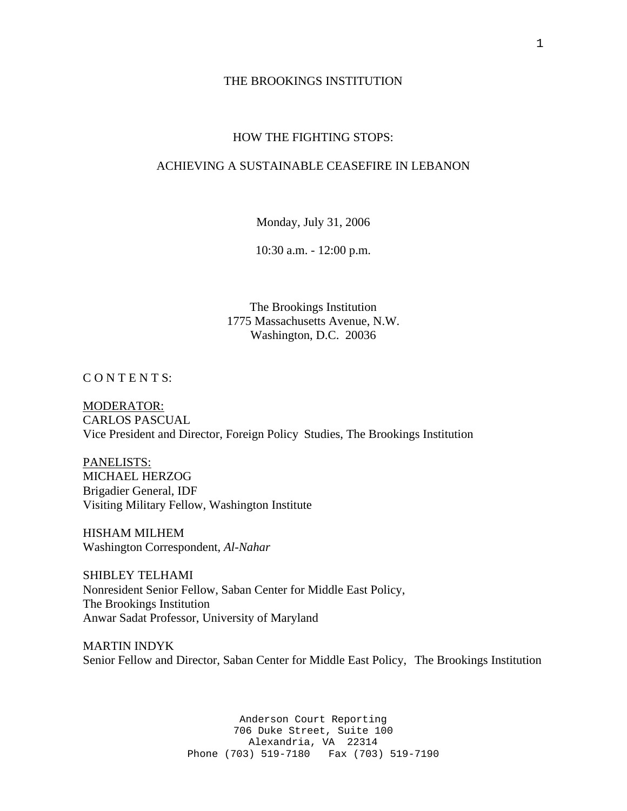#### THE BROOKINGS INSTITUTION

## HOW THE FIGHTING STOPS:

# ACHIEVING A SUSTAINABLE CEASEFIRE IN LEBANON

Monday, July 31, 2006

10:30 a.m. - 12:00 p.m.

The Brookings Institution 1775 Massachusetts Avenue, N.W. Washington, D.C. 20036

CONTENTS:

MODERATOR: CARLOS PASCUAL Vice President and Director, Foreign Policy Studies, The Brookings Institution

PANELISTS: MICHAEL HERZOG Brigadier General, IDF Visiting Military Fellow, Washington Institute

HISHAM MILHEM Washington Correspondent, *Al-Nahar* 

SHIBLEY TELHAMI Nonresident Senior Fellow, Saban Center for Middle East Policy, The Brookings Institution Anwar Sadat Professor, University of Maryland

MARTIN INDYK Senior Fellow and Director, Saban Center for Middle East Policy, The Brookings Institution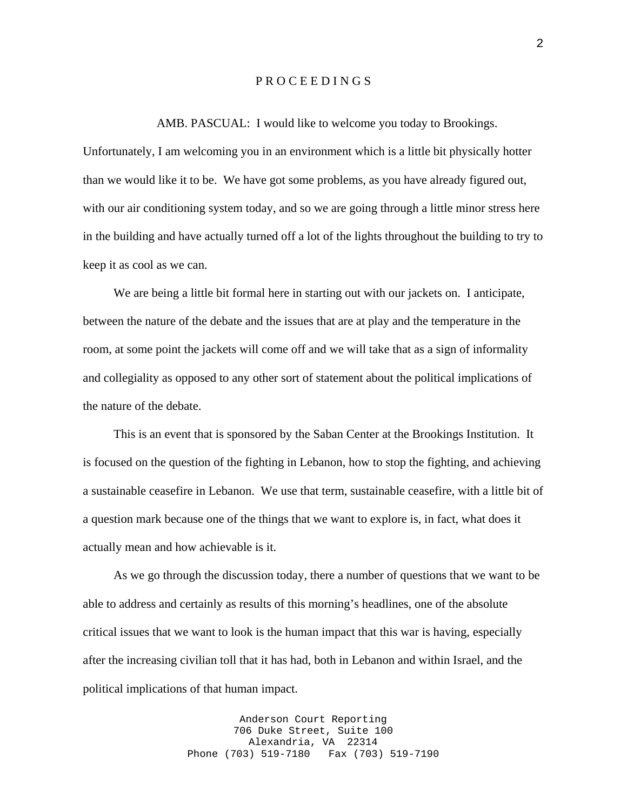### P R O C E E D I N G S

#### AMB. PASCUAL: I would like to welcome you today to Brookings.

Unfortunately, I am welcoming you in an environment which is a little bit physically hotter than we would like it to be. We have got some problems, as you have already figured out, with our air conditioning system today, and so we are going through a little minor stress here in the building and have actually turned off a lot of the lights throughout the building to try to keep it as cool as we can.

We are being a little bit formal here in starting out with our jackets on. I anticipate, between the nature of the debate and the issues that are at play and the temperature in the room, at some point the jackets will come off and we will take that as a sign of informality and collegiality as opposed to any other sort of statement about the political implications of the nature of the debate.

 This is an event that is sponsored by the Saban Center at the Brookings Institution. It is focused on the question of the fighting in Lebanon, how to stop the fighting, and achieving a sustainable ceasefire in Lebanon. We use that term, sustainable ceasefire, with a little bit of a question mark because one of the things that we want to explore is, in fact, what does it actually mean and how achievable is it.

 As we go through the discussion today, there a number of questions that we want to be able to address and certainly as results of this morning's headlines, one of the absolute critical issues that we want to look is the human impact that this war is having, especially after the increasing civilian toll that it has had, both in Lebanon and within Israel, and the political implications of that human impact.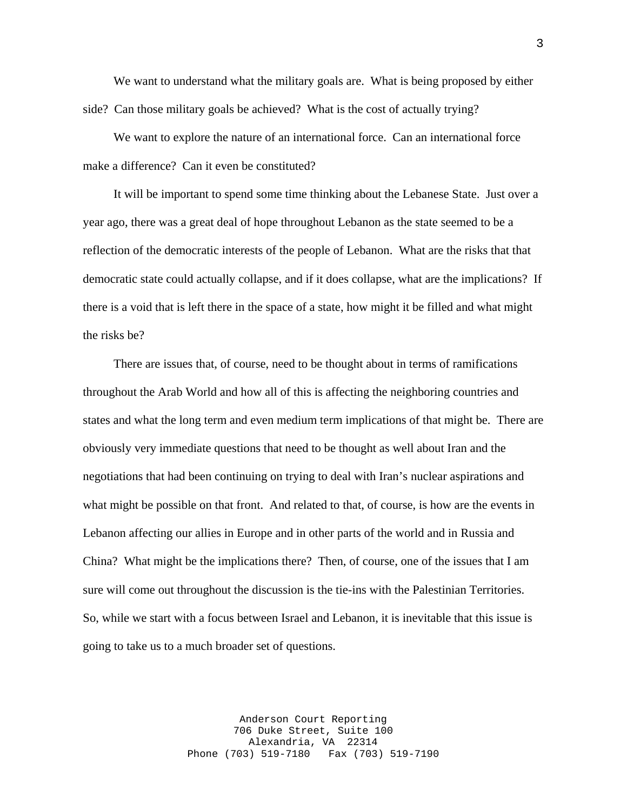We want to understand what the military goals are. What is being proposed by either side? Can those military goals be achieved? What is the cost of actually trying?

 We want to explore the nature of an international force. Can an international force make a difference? Can it even be constituted?

 It will be important to spend some time thinking about the Lebanese State. Just over a year ago, there was a great deal of hope throughout Lebanon as the state seemed to be a reflection of the democratic interests of the people of Lebanon. What are the risks that that democratic state could actually collapse, and if it does collapse, what are the implications? If there is a void that is left there in the space of a state, how might it be filled and what might the risks be?

 There are issues that, of course, need to be thought about in terms of ramifications throughout the Arab World and how all of this is affecting the neighboring countries and states and what the long term and even medium term implications of that might be. There are obviously very immediate questions that need to be thought as well about Iran and the negotiations that had been continuing on trying to deal with Iran's nuclear aspirations and what might be possible on that front. And related to that, of course, is how are the events in Lebanon affecting our allies in Europe and in other parts of the world and in Russia and China? What might be the implications there? Then, of course, one of the issues that I am sure will come out throughout the discussion is the tie-ins with the Palestinian Territories. So, while we start with a focus between Israel and Lebanon, it is inevitable that this issue is going to take us to a much broader set of questions.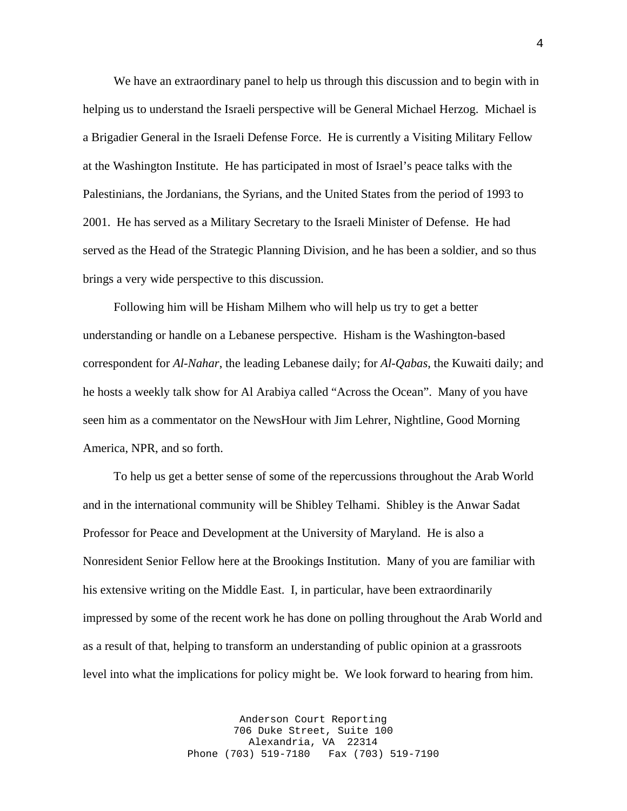We have an extraordinary panel to help us through this discussion and to begin with in helping us to understand the Israeli perspective will be General Michael Herzog. Michael is a Brigadier General in the Israeli Defense Force. He is currently a Visiting Military Fellow at the Washington Institute. He has participated in most of Israel's peace talks with the Palestinians, the Jordanians, the Syrians, and the United States from the period of 1993 to 2001. He has served as a Military Secretary to the Israeli Minister of Defense. He had served as the Head of the Strategic Planning Division, and he has been a soldier, and so thus brings a very wide perspective to this discussion.

 Following him will be Hisham Milhem who will help us try to get a better understanding or handle on a Lebanese perspective. Hisham is the Washington-based correspondent for *Al-Nahar*, the leading Lebanese daily; for *Al-Qabas*, the Kuwaiti daily; and he hosts a weekly talk show for Al Arabiya called "Across the Ocean". Many of you have seen him as a commentator on the NewsHour with Jim Lehrer, Nightline, Good Morning America, NPR, and so forth.

 To help us get a better sense of some of the repercussions throughout the Arab World and in the international community will be Shibley Telhami. Shibley is the Anwar Sadat Professor for Peace and Development at the University of Maryland. He is also a Nonresident Senior Fellow here at the Brookings Institution. Many of you are familiar with his extensive writing on the Middle East. I, in particular, have been extraordinarily impressed by some of the recent work he has done on polling throughout the Arab World and as a result of that, helping to transform an understanding of public opinion at a grassroots level into what the implications for policy might be. We look forward to hearing from him.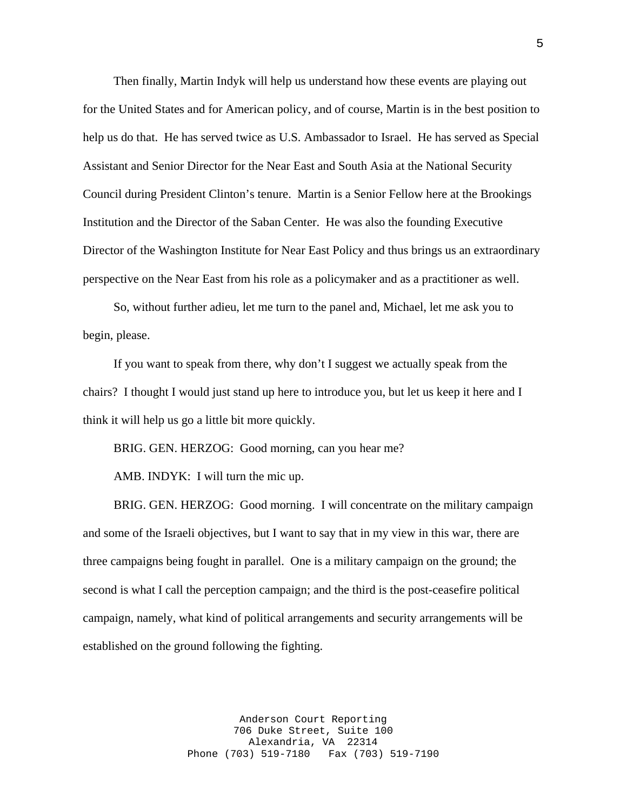Then finally, Martin Indyk will help us understand how these events are playing out for the United States and for American policy, and of course, Martin is in the best position to help us do that. He has served twice as U.S. Ambassador to Israel. He has served as Special Assistant and Senior Director for the Near East and South Asia at the National Security Council during President Clinton's tenure. Martin is a Senior Fellow here at the Brookings Institution and the Director of the Saban Center. He was also the founding Executive Director of the Washington Institute for Near East Policy and thus brings us an extraordinary perspective on the Near East from his role as a policymaker and as a practitioner as well.

 So, without further adieu, let me turn to the panel and, Michael, let me ask you to begin, please.

 If you want to speak from there, why don't I suggest we actually speak from the chairs? I thought I would just stand up here to introduce you, but let us keep it here and I think it will help us go a little bit more quickly.

BRIG. GEN. HERZOG: Good morning, can you hear me?

AMB. INDYK: I will turn the mic up.

 BRIG. GEN. HERZOG: Good morning. I will concentrate on the military campaign and some of the Israeli objectives, but I want to say that in my view in this war, there are three campaigns being fought in parallel. One is a military campaign on the ground; the second is what I call the perception campaign; and the third is the post-ceasefire political campaign, namely, what kind of political arrangements and security arrangements will be established on the ground following the fighting.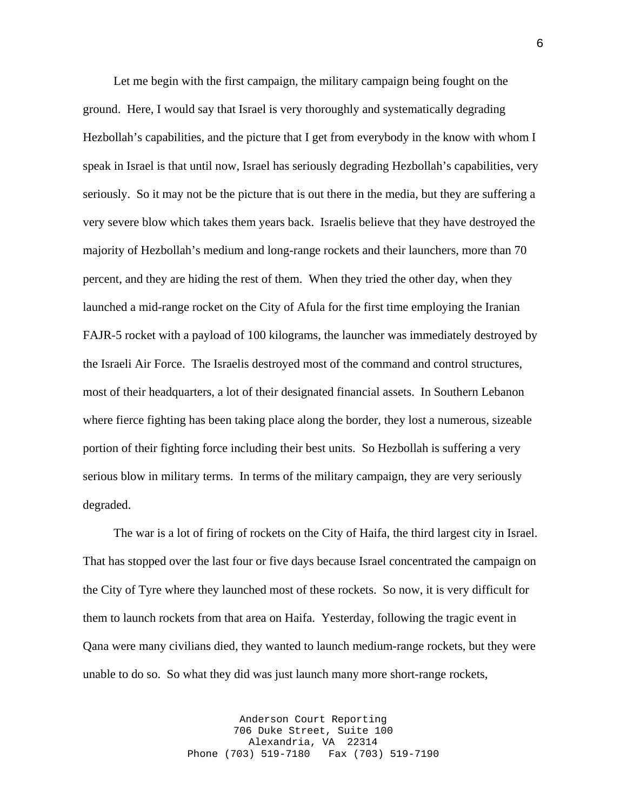Let me begin with the first campaign, the military campaign being fought on the ground. Here, I would say that Israel is very thoroughly and systematically degrading Hezbollah's capabilities, and the picture that I get from everybody in the know with whom I speak in Israel is that until now, Israel has seriously degrading Hezbollah's capabilities, very seriously. So it may not be the picture that is out there in the media, but they are suffering a very severe blow which takes them years back. Israelis believe that they have destroyed the majority of Hezbollah's medium and long-range rockets and their launchers, more than 70 percent, and they are hiding the rest of them. When they tried the other day, when they launched a mid-range rocket on the City of Afula for the first time employing the Iranian FAJR-5 rocket with a payload of 100 kilograms, the launcher was immediately destroyed by the Israeli Air Force. The Israelis destroyed most of the command and control structures, most of their headquarters, a lot of their designated financial assets. In Southern Lebanon where fierce fighting has been taking place along the border, they lost a numerous, sizeable portion of their fighting force including their best units. So Hezbollah is suffering a very serious blow in military terms. In terms of the military campaign, they are very seriously degraded.

 The war is a lot of firing of rockets on the City of Haifa, the third largest city in Israel. That has stopped over the last four or five days because Israel concentrated the campaign on the City of Tyre where they launched most of these rockets. So now, it is very difficult for them to launch rockets from that area on Haifa. Yesterday, following the tragic event in Qana were many civilians died, they wanted to launch medium-range rockets, but they were unable to do so. So what they did was just launch many more short-range rockets,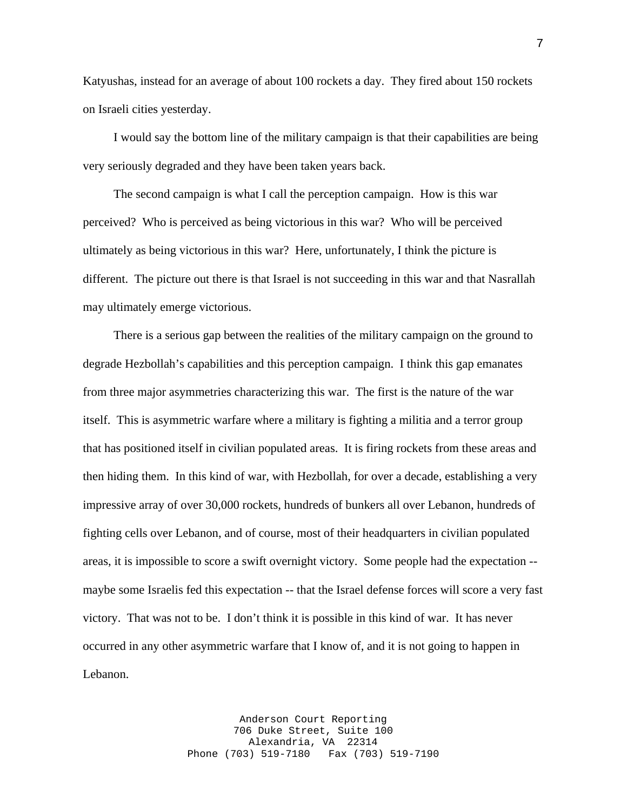Katyushas, instead for an average of about 100 rockets a day. They fired about 150 rockets on Israeli cities yesterday.

 I would say the bottom line of the military campaign is that their capabilities are being very seriously degraded and they have been taken years back.

 The second campaign is what I call the perception campaign. How is this war perceived? Who is perceived as being victorious in this war? Who will be perceived ultimately as being victorious in this war? Here, unfortunately, I think the picture is different. The picture out there is that Israel is not succeeding in this war and that Nasrallah may ultimately emerge victorious.

 There is a serious gap between the realities of the military campaign on the ground to degrade Hezbollah's capabilities and this perception campaign. I think this gap emanates from three major asymmetries characterizing this war. The first is the nature of the war itself. This is asymmetric warfare where a military is fighting a militia and a terror group that has positioned itself in civilian populated areas. It is firing rockets from these areas and then hiding them. In this kind of war, with Hezbollah, for over a decade, establishing a very impressive array of over 30,000 rockets, hundreds of bunkers all over Lebanon, hundreds of fighting cells over Lebanon, and of course, most of their headquarters in civilian populated areas, it is impossible to score a swift overnight victory. Some people had the expectation - maybe some Israelis fed this expectation -- that the Israel defense forces will score a very fast victory. That was not to be. I don't think it is possible in this kind of war. It has never occurred in any other asymmetric warfare that I know of, and it is not going to happen in Lebanon.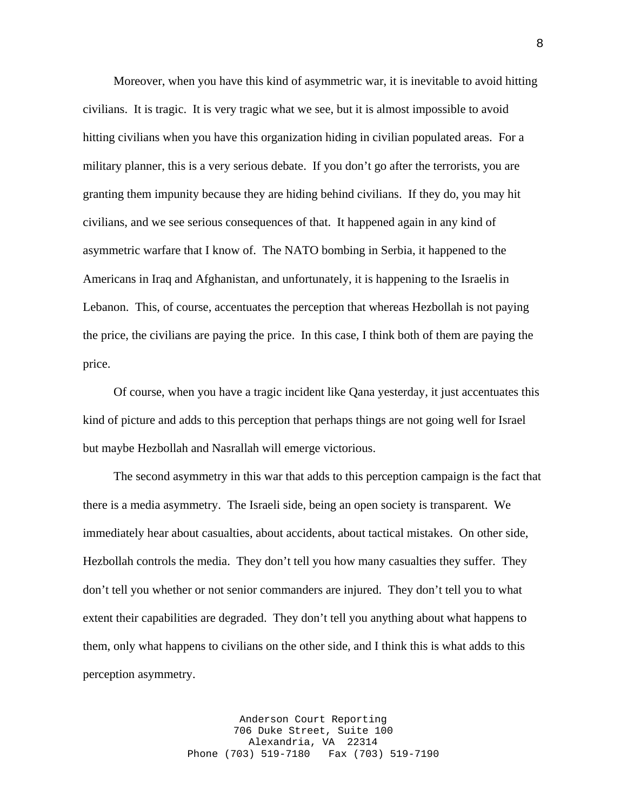Moreover, when you have this kind of asymmetric war, it is inevitable to avoid hitting civilians. It is tragic. It is very tragic what we see, but it is almost impossible to avoid hitting civilians when you have this organization hiding in civilian populated areas. For a military planner, this is a very serious debate. If you don't go after the terrorists, you are granting them impunity because they are hiding behind civilians. If they do, you may hit civilians, and we see serious consequences of that. It happened again in any kind of asymmetric warfare that I know of. The NATO bombing in Serbia, it happened to the Americans in Iraq and Afghanistan, and unfortunately, it is happening to the Israelis in Lebanon. This, of course, accentuates the perception that whereas Hezbollah is not paying the price, the civilians are paying the price. In this case, I think both of them are paying the price.

 Of course, when you have a tragic incident like Qana yesterday, it just accentuates this kind of picture and adds to this perception that perhaps things are not going well for Israel but maybe Hezbollah and Nasrallah will emerge victorious.

 The second asymmetry in this war that adds to this perception campaign is the fact that there is a media asymmetry. The Israeli side, being an open society is transparent. We immediately hear about casualties, about accidents, about tactical mistakes. On other side, Hezbollah controls the media. They don't tell you how many casualties they suffer. They don't tell you whether or not senior commanders are injured. They don't tell you to what extent their capabilities are degraded. They don't tell you anything about what happens to them, only what happens to civilians on the other side, and I think this is what adds to this perception asymmetry.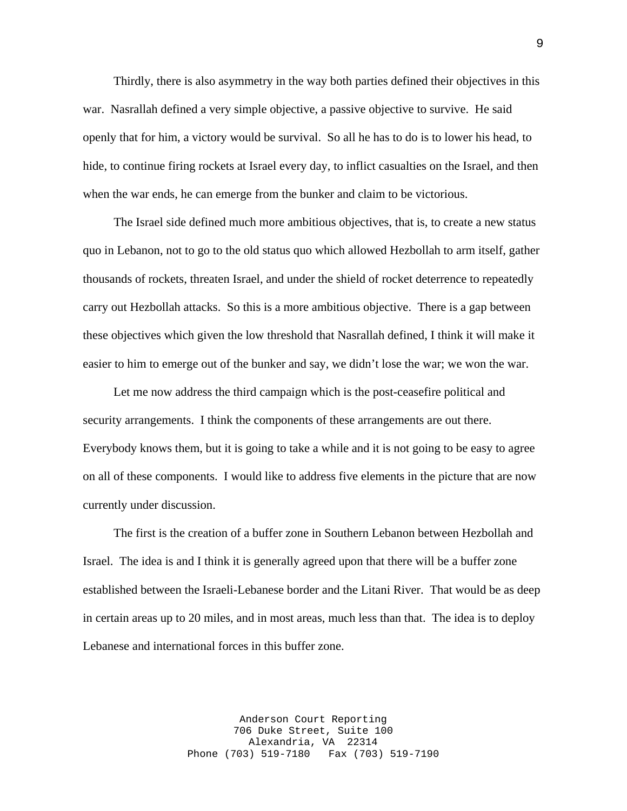Thirdly, there is also asymmetry in the way both parties defined their objectives in this war. Nasrallah defined a very simple objective, a passive objective to survive. He said openly that for him, a victory would be survival. So all he has to do is to lower his head, to hide, to continue firing rockets at Israel every day, to inflict casualties on the Israel, and then when the war ends, he can emerge from the bunker and claim to be victorious.

 The Israel side defined much more ambitious objectives, that is, to create a new status quo in Lebanon, not to go to the old status quo which allowed Hezbollah to arm itself, gather thousands of rockets, threaten Israel, and under the shield of rocket deterrence to repeatedly carry out Hezbollah attacks. So this is a more ambitious objective. There is a gap between these objectives which given the low threshold that Nasrallah defined, I think it will make it easier to him to emerge out of the bunker and say, we didn't lose the war; we won the war.

 Let me now address the third campaign which is the post-ceasefire political and security arrangements. I think the components of these arrangements are out there. Everybody knows them, but it is going to take a while and it is not going to be easy to agree on all of these components. I would like to address five elements in the picture that are now currently under discussion.

 The first is the creation of a buffer zone in Southern Lebanon between Hezbollah and Israel. The idea is and I think it is generally agreed upon that there will be a buffer zone established between the Israeli-Lebanese border and the Litani River. That would be as deep in certain areas up to 20 miles, and in most areas, much less than that. The idea is to deploy Lebanese and international forces in this buffer zone.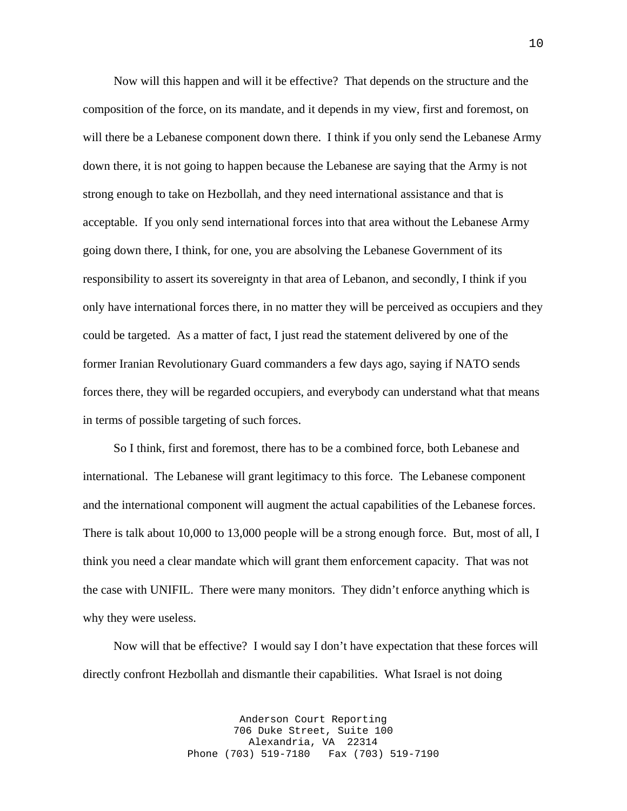Now will this happen and will it be effective? That depends on the structure and the composition of the force, on its mandate, and it depends in my view, first and foremost, on will there be a Lebanese component down there. I think if you only send the Lebanese Army down there, it is not going to happen because the Lebanese are saying that the Army is not strong enough to take on Hezbollah, and they need international assistance and that is acceptable. If you only send international forces into that area without the Lebanese Army going down there, I think, for one, you are absolving the Lebanese Government of its responsibility to assert its sovereignty in that area of Lebanon, and secondly, I think if you only have international forces there, in no matter they will be perceived as occupiers and they could be targeted. As a matter of fact, I just read the statement delivered by one of the former Iranian Revolutionary Guard commanders a few days ago, saying if NATO sends forces there, they will be regarded occupiers, and everybody can understand what that means in terms of possible targeting of such forces.

 So I think, first and foremost, there has to be a combined force, both Lebanese and international. The Lebanese will grant legitimacy to this force. The Lebanese component and the international component will augment the actual capabilities of the Lebanese forces. There is talk about 10,000 to 13,000 people will be a strong enough force. But, most of all, I think you need a clear mandate which will grant them enforcement capacity. That was not the case with UNIFIL. There were many monitors. They didn't enforce anything which is why they were useless.

 Now will that be effective? I would say I don't have expectation that these forces will directly confront Hezbollah and dismantle their capabilities. What Israel is not doing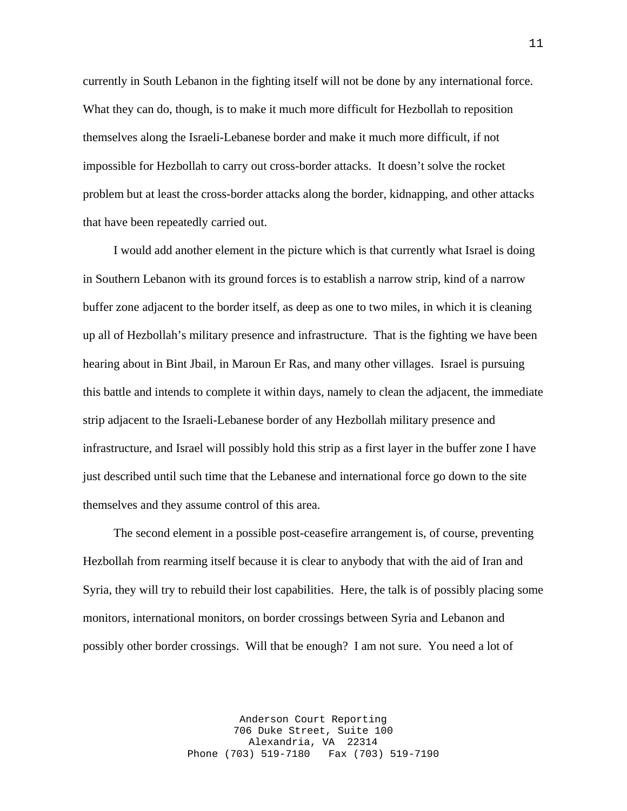currently in South Lebanon in the fighting itself will not be done by any international force. What they can do, though, is to make it much more difficult for Hezbollah to reposition themselves along the Israeli-Lebanese border and make it much more difficult, if not impossible for Hezbollah to carry out cross-border attacks. It doesn't solve the rocket problem but at least the cross-border attacks along the border, kidnapping, and other attacks that have been repeatedly carried out.

 I would add another element in the picture which is that currently what Israel is doing in Southern Lebanon with its ground forces is to establish a narrow strip, kind of a narrow buffer zone adjacent to the border itself, as deep as one to two miles, in which it is cleaning up all of Hezbollah's military presence and infrastructure. That is the fighting we have been hearing about in Bint Jbail, in Maroun Er Ras, and many other villages. Israel is pursuing this battle and intends to complete it within days, namely to clean the adjacent, the immediate strip adjacent to the Israeli-Lebanese border of any Hezbollah military presence and infrastructure, and Israel will possibly hold this strip as a first layer in the buffer zone I have just described until such time that the Lebanese and international force go down to the site themselves and they assume control of this area.

 The second element in a possible post-ceasefire arrangement is, of course, preventing Hezbollah from rearming itself because it is clear to anybody that with the aid of Iran and Syria, they will try to rebuild their lost capabilities. Here, the talk is of possibly placing some monitors, international monitors, on border crossings between Syria and Lebanon and possibly other border crossings. Will that be enough? I am not sure. You need a lot of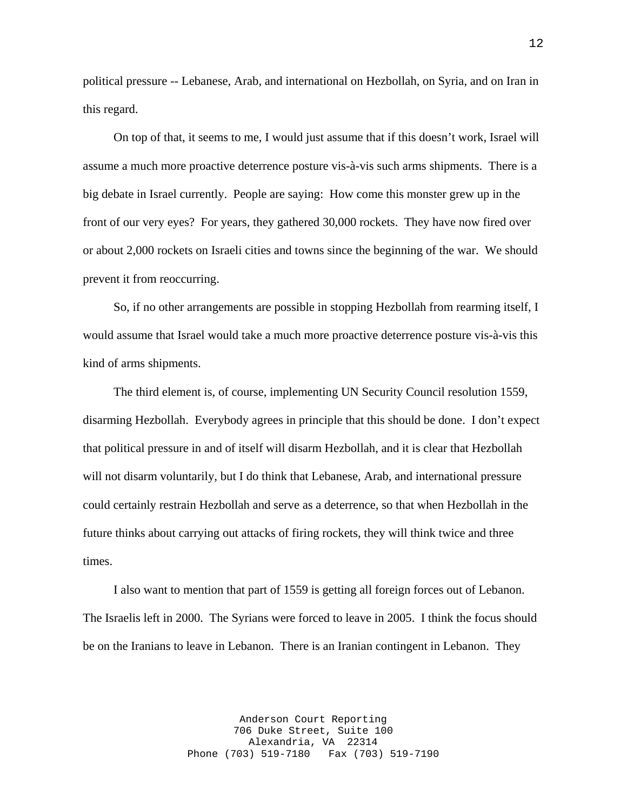political pressure -- Lebanese, Arab, and international on Hezbollah, on Syria, and on Iran in this regard.

 On top of that, it seems to me, I would just assume that if this doesn't work, Israel will assume a much more proactive deterrence posture vis-à-vis such arms shipments. There is a big debate in Israel currently. People are saying: How come this monster grew up in the front of our very eyes? For years, they gathered 30,000 rockets. They have now fired over or about 2,000 rockets on Israeli cities and towns since the beginning of the war. We should prevent it from reoccurring.

 So, if no other arrangements are possible in stopping Hezbollah from rearming itself, I would assume that Israel would take a much more proactive deterrence posture vis-à-vis this kind of arms shipments.

 The third element is, of course, implementing UN Security Council resolution 1559, disarming Hezbollah. Everybody agrees in principle that this should be done. I don't expect that political pressure in and of itself will disarm Hezbollah, and it is clear that Hezbollah will not disarm voluntarily, but I do think that Lebanese, Arab, and international pressure could certainly restrain Hezbollah and serve as a deterrence, so that when Hezbollah in the future thinks about carrying out attacks of firing rockets, they will think twice and three times.

 I also want to mention that part of 1559 is getting all foreign forces out of Lebanon. The Israelis left in 2000. The Syrians were forced to leave in 2005. I think the focus should be on the Iranians to leave in Lebanon. There is an Iranian contingent in Lebanon. They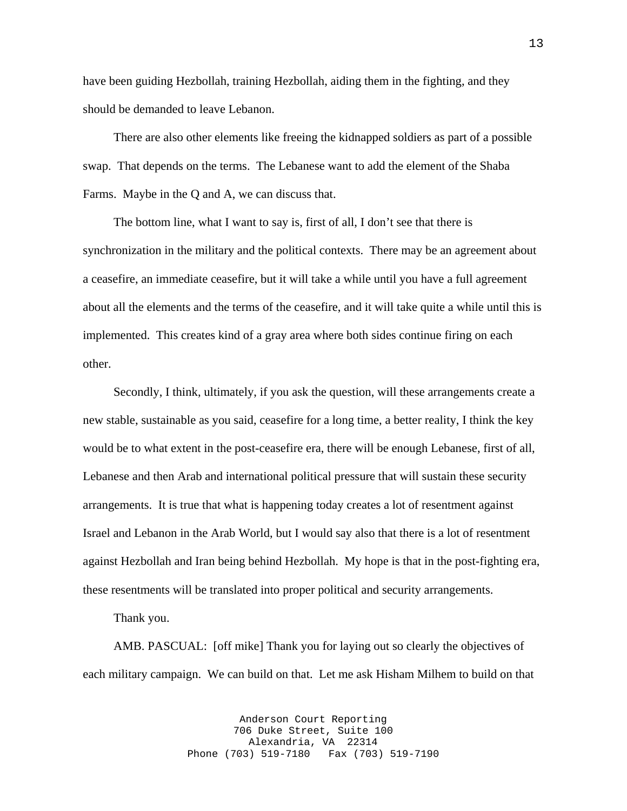have been guiding Hezbollah, training Hezbollah, aiding them in the fighting, and they should be demanded to leave Lebanon.

 There are also other elements like freeing the kidnapped soldiers as part of a possible swap. That depends on the terms. The Lebanese want to add the element of the Shaba Farms. Maybe in the Q and A, we can discuss that.

 The bottom line, what I want to say is, first of all, I don't see that there is synchronization in the military and the political contexts. There may be an agreement about a ceasefire, an immediate ceasefire, but it will take a while until you have a full agreement about all the elements and the terms of the ceasefire, and it will take quite a while until this is implemented. This creates kind of a gray area where both sides continue firing on each other.

 Secondly, I think, ultimately, if you ask the question, will these arrangements create a new stable, sustainable as you said, ceasefire for a long time, a better reality, I think the key would be to what extent in the post-ceasefire era, there will be enough Lebanese, first of all, Lebanese and then Arab and international political pressure that will sustain these security arrangements. It is true that what is happening today creates a lot of resentment against Israel and Lebanon in the Arab World, but I would say also that there is a lot of resentment against Hezbollah and Iran being behind Hezbollah. My hope is that in the post-fighting era, these resentments will be translated into proper political and security arrangements.

Thank you.

 AMB. PASCUAL: [off mike] Thank you for laying out so clearly the objectives of each military campaign. We can build on that. Let me ask Hisham Milhem to build on that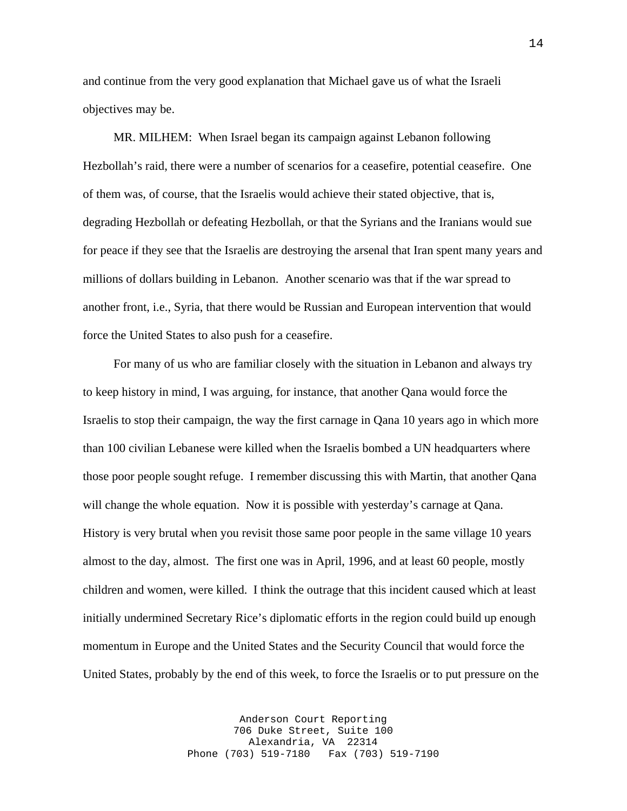and continue from the very good explanation that Michael gave us of what the Israeli objectives may be.

 MR. MILHEM: When Israel began its campaign against Lebanon following Hezbollah's raid, there were a number of scenarios for a ceasefire, potential ceasefire. One of them was, of course, that the Israelis would achieve their stated objective, that is, degrading Hezbollah or defeating Hezbollah, or that the Syrians and the Iranians would sue for peace if they see that the Israelis are destroying the arsenal that Iran spent many years and millions of dollars building in Lebanon. Another scenario was that if the war spread to another front, i.e., Syria, that there would be Russian and European intervention that would force the United States to also push for a ceasefire.

 For many of us who are familiar closely with the situation in Lebanon and always try to keep history in mind, I was arguing, for instance, that another Qana would force the Israelis to stop their campaign, the way the first carnage in Qana 10 years ago in which more than 100 civilian Lebanese were killed when the Israelis bombed a UN headquarters where those poor people sought refuge. I remember discussing this with Martin, that another Qana will change the whole equation. Now it is possible with yesterday's carnage at Qana. History is very brutal when you revisit those same poor people in the same village 10 years almost to the day, almost. The first one was in April, 1996, and at least 60 people, mostly children and women, were killed. I think the outrage that this incident caused which at least initially undermined Secretary Rice's diplomatic efforts in the region could build up enough momentum in Europe and the United States and the Security Council that would force the United States, probably by the end of this week, to force the Israelis or to put pressure on the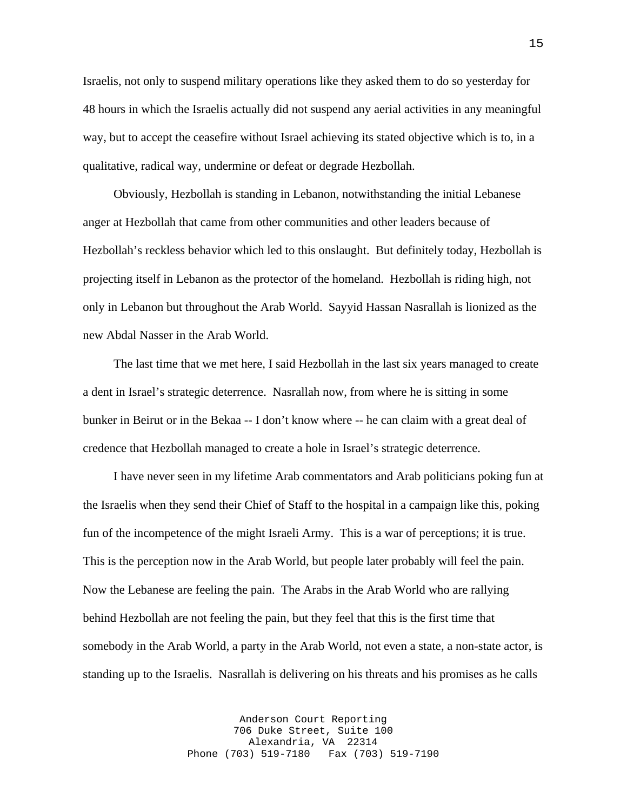Israelis, not only to suspend military operations like they asked them to do so yesterday for 48 hours in which the Israelis actually did not suspend any aerial activities in any meaningful way, but to accept the ceasefire without Israel achieving its stated objective which is to, in a qualitative, radical way, undermine or defeat or degrade Hezbollah.

 Obviously, Hezbollah is standing in Lebanon, notwithstanding the initial Lebanese anger at Hezbollah that came from other communities and other leaders because of Hezbollah's reckless behavior which led to this onslaught. But definitely today, Hezbollah is projecting itself in Lebanon as the protector of the homeland. Hezbollah is riding high, not only in Lebanon but throughout the Arab World. Sayyid Hassan Nasrallah is lionized as the new Abdal Nasser in the Arab World.

 The last time that we met here, I said Hezbollah in the last six years managed to create a dent in Israel's strategic deterrence. Nasrallah now, from where he is sitting in some bunker in Beirut or in the Bekaa -- I don't know where -- he can claim with a great deal of credence that Hezbollah managed to create a hole in Israel's strategic deterrence.

 I have never seen in my lifetime Arab commentators and Arab politicians poking fun at the Israelis when they send their Chief of Staff to the hospital in a campaign like this, poking fun of the incompetence of the might Israeli Army. This is a war of perceptions; it is true. This is the perception now in the Arab World, but people later probably will feel the pain. Now the Lebanese are feeling the pain. The Arabs in the Arab World who are rallying behind Hezbollah are not feeling the pain, but they feel that this is the first time that somebody in the Arab World, a party in the Arab World, not even a state, a non-state actor, is standing up to the Israelis. Nasrallah is delivering on his threats and his promises as he calls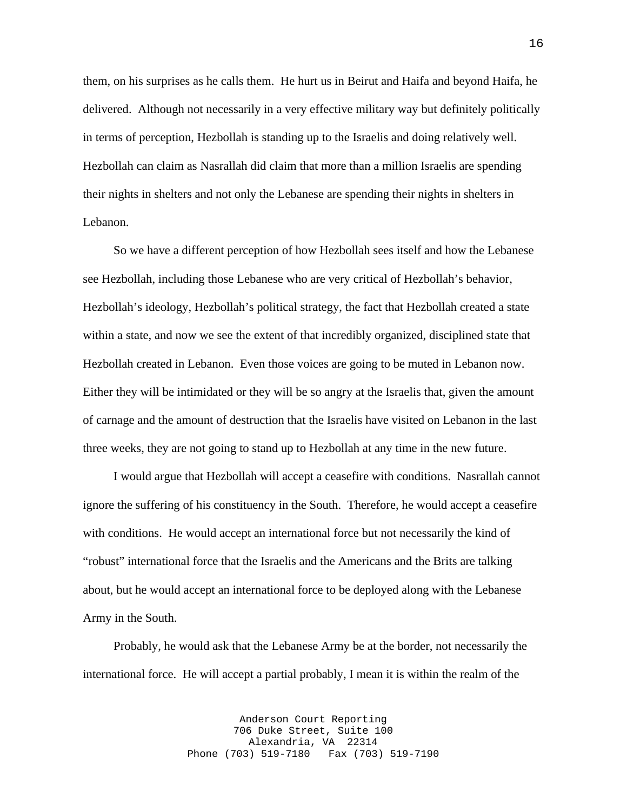them, on his surprises as he calls them. He hurt us in Beirut and Haifa and beyond Haifa, he delivered. Although not necessarily in a very effective military way but definitely politically in terms of perception, Hezbollah is standing up to the Israelis and doing relatively well. Hezbollah can claim as Nasrallah did claim that more than a million Israelis are spending their nights in shelters and not only the Lebanese are spending their nights in shelters in Lebanon.

 So we have a different perception of how Hezbollah sees itself and how the Lebanese see Hezbollah, including those Lebanese who are very critical of Hezbollah's behavior, Hezbollah's ideology, Hezbollah's political strategy, the fact that Hezbollah created a state within a state, and now we see the extent of that incredibly organized, disciplined state that Hezbollah created in Lebanon. Even those voices are going to be muted in Lebanon now. Either they will be intimidated or they will be so angry at the Israelis that, given the amount of carnage and the amount of destruction that the Israelis have visited on Lebanon in the last three weeks, they are not going to stand up to Hezbollah at any time in the new future.

 I would argue that Hezbollah will accept a ceasefire with conditions. Nasrallah cannot ignore the suffering of his constituency in the South. Therefore, he would accept a ceasefire with conditions. He would accept an international force but not necessarily the kind of "robust" international force that the Israelis and the Americans and the Brits are talking about, but he would accept an international force to be deployed along with the Lebanese Army in the South.

 Probably, he would ask that the Lebanese Army be at the border, not necessarily the international force. He will accept a partial probably, I mean it is within the realm of the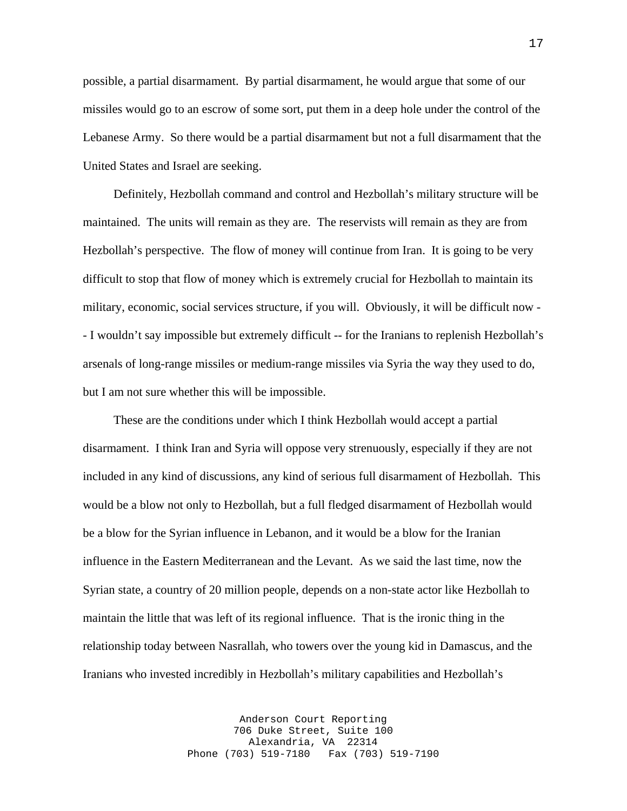possible, a partial disarmament. By partial disarmament, he would argue that some of our missiles would go to an escrow of some sort, put them in a deep hole under the control of the Lebanese Army. So there would be a partial disarmament but not a full disarmament that the United States and Israel are seeking.

 Definitely, Hezbollah command and control and Hezbollah's military structure will be maintained. The units will remain as they are. The reservists will remain as they are from Hezbollah's perspective. The flow of money will continue from Iran. It is going to be very difficult to stop that flow of money which is extremely crucial for Hezbollah to maintain its military, economic, social services structure, if you will. Obviously, it will be difficult now - - I wouldn't say impossible but extremely difficult -- for the Iranians to replenish Hezbollah's arsenals of long-range missiles or medium-range missiles via Syria the way they used to do, but I am not sure whether this will be impossible.

 These are the conditions under which I think Hezbollah would accept a partial disarmament. I think Iran and Syria will oppose very strenuously, especially if they are not included in any kind of discussions, any kind of serious full disarmament of Hezbollah. This would be a blow not only to Hezbollah, but a full fledged disarmament of Hezbollah would be a blow for the Syrian influence in Lebanon, and it would be a blow for the Iranian influence in the Eastern Mediterranean and the Levant. As we said the last time, now the Syrian state, a country of 20 million people, depends on a non-state actor like Hezbollah to maintain the little that was left of its regional influence. That is the ironic thing in the relationship today between Nasrallah, who towers over the young kid in Damascus, and the Iranians who invested incredibly in Hezbollah's military capabilities and Hezbollah's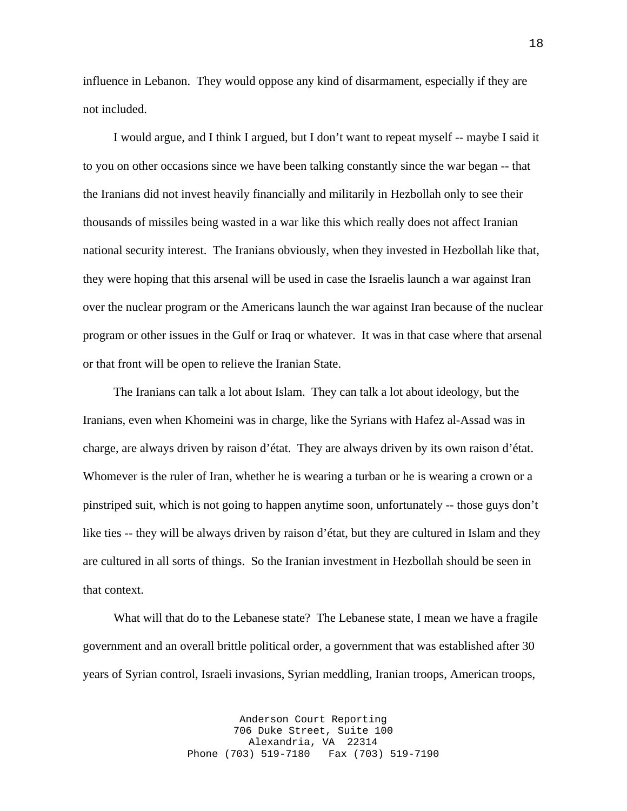influence in Lebanon. They would oppose any kind of disarmament, especially if they are not included.

 I would argue, and I think I argued, but I don't want to repeat myself -- maybe I said it to you on other occasions since we have been talking constantly since the war began -- that the Iranians did not invest heavily financially and militarily in Hezbollah only to see their thousands of missiles being wasted in a war like this which really does not affect Iranian national security interest. The Iranians obviously, when they invested in Hezbollah like that, they were hoping that this arsenal will be used in case the Israelis launch a war against Iran over the nuclear program or the Americans launch the war against Iran because of the nuclear program or other issues in the Gulf or Iraq or whatever. It was in that case where that arsenal or that front will be open to relieve the Iranian State.

 The Iranians can talk a lot about Islam. They can talk a lot about ideology, but the Iranians, even when Khomeini was in charge, like the Syrians with Hafez al-Assad was in charge, are always driven by raison d'état. They are always driven by its own raison d'état. Whomever is the ruler of Iran, whether he is wearing a turban or he is wearing a crown or a pinstriped suit, which is not going to happen anytime soon, unfortunately -- those guys don't like ties -- they will be always driven by raison d'état, but they are cultured in Islam and they are cultured in all sorts of things. So the Iranian investment in Hezbollah should be seen in that context.

 What will that do to the Lebanese state? The Lebanese state, I mean we have a fragile government and an overall brittle political order, a government that was established after 30 years of Syrian control, Israeli invasions, Syrian meddling, Iranian troops, American troops,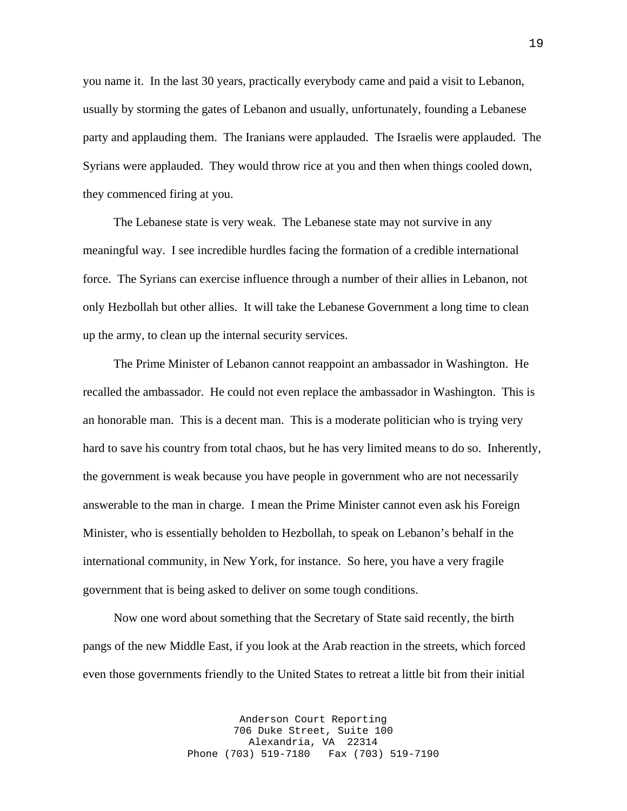you name it. In the last 30 years, practically everybody came and paid a visit to Lebanon, usually by storming the gates of Lebanon and usually, unfortunately, founding a Lebanese party and applauding them. The Iranians were applauded. The Israelis were applauded. The Syrians were applauded. They would throw rice at you and then when things cooled down, they commenced firing at you.

 The Lebanese state is very weak. The Lebanese state may not survive in any meaningful way. I see incredible hurdles facing the formation of a credible international force. The Syrians can exercise influence through a number of their allies in Lebanon, not only Hezbollah but other allies. It will take the Lebanese Government a long time to clean up the army, to clean up the internal security services.

 The Prime Minister of Lebanon cannot reappoint an ambassador in Washington. He recalled the ambassador. He could not even replace the ambassador in Washington. This is an honorable man. This is a decent man. This is a moderate politician who is trying very hard to save his country from total chaos, but he has very limited means to do so. Inherently, the government is weak because you have people in government who are not necessarily answerable to the man in charge. I mean the Prime Minister cannot even ask his Foreign Minister, who is essentially beholden to Hezbollah, to speak on Lebanon's behalf in the international community, in New York, for instance. So here, you have a very fragile government that is being asked to deliver on some tough conditions.

 Now one word about something that the Secretary of State said recently, the birth pangs of the new Middle East, if you look at the Arab reaction in the streets, which forced even those governments friendly to the United States to retreat a little bit from their initial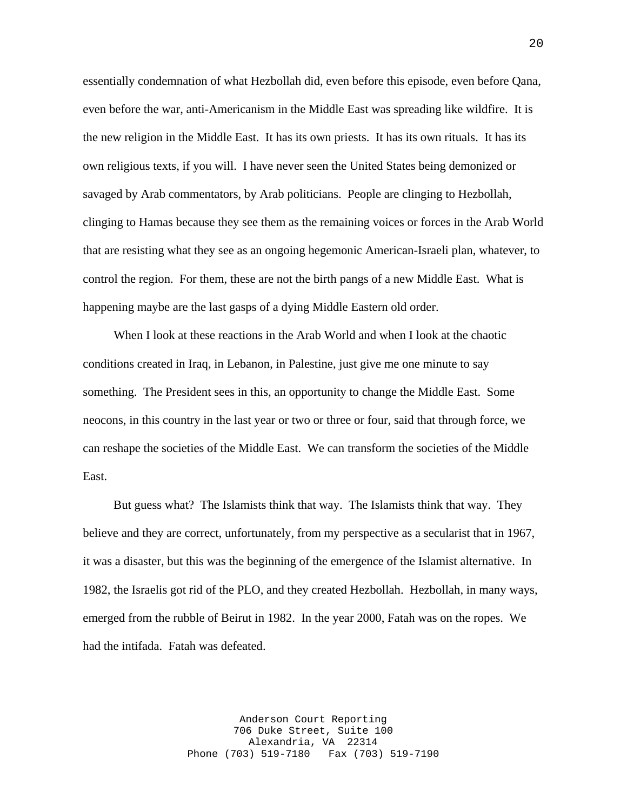essentially condemnation of what Hezbollah did, even before this episode, even before Qana, even before the war, anti-Americanism in the Middle East was spreading like wildfire. It is the new religion in the Middle East. It has its own priests. It has its own rituals. It has its own religious texts, if you will. I have never seen the United States being demonized or savaged by Arab commentators, by Arab politicians. People are clinging to Hezbollah, clinging to Hamas because they see them as the remaining voices or forces in the Arab World that are resisting what they see as an ongoing hegemonic American-Israeli plan, whatever, to control the region. For them, these are not the birth pangs of a new Middle East. What is happening maybe are the last gasps of a dying Middle Eastern old order.

 When I look at these reactions in the Arab World and when I look at the chaotic conditions created in Iraq, in Lebanon, in Palestine, just give me one minute to say something. The President sees in this, an opportunity to change the Middle East. Some neocons, in this country in the last year or two or three or four, said that through force, we can reshape the societies of the Middle East. We can transform the societies of the Middle East.

 But guess what? The Islamists think that way. The Islamists think that way. They believe and they are correct, unfortunately, from my perspective as a secularist that in 1967, it was a disaster, but this was the beginning of the emergence of the Islamist alternative. In 1982, the Israelis got rid of the PLO, and they created Hezbollah. Hezbollah, in many ways, emerged from the rubble of Beirut in 1982. In the year 2000, Fatah was on the ropes. We had the intifada. Fatah was defeated.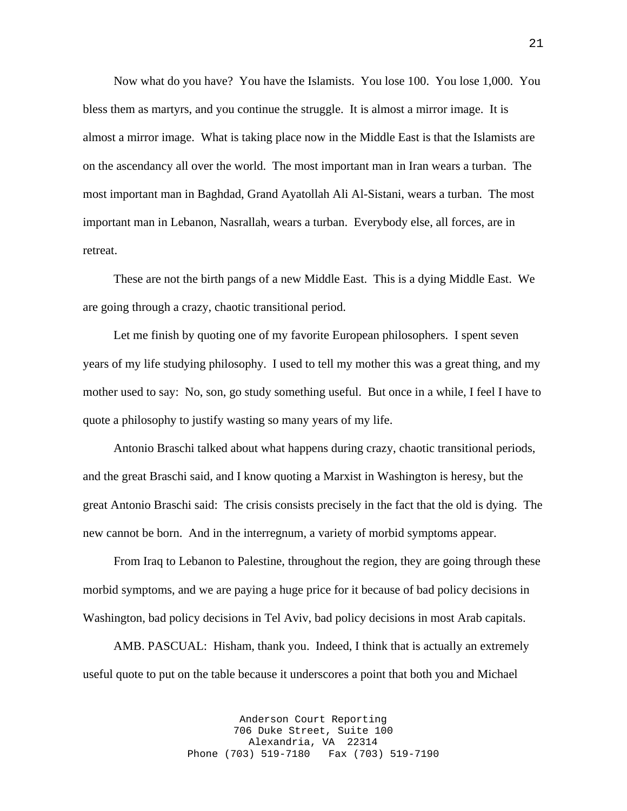Now what do you have? You have the Islamists. You lose 100. You lose 1,000. You bless them as martyrs, and you continue the struggle. It is almost a mirror image. It is almost a mirror image. What is taking place now in the Middle East is that the Islamists are on the ascendancy all over the world. The most important man in Iran wears a turban. The most important man in Baghdad, Grand Ayatollah Ali Al-Sistani, wears a turban. The most important man in Lebanon, Nasrallah, wears a turban. Everybody else, all forces, are in retreat.

 These are not the birth pangs of a new Middle East. This is a dying Middle East. We are going through a crazy, chaotic transitional period.

 Let me finish by quoting one of my favorite European philosophers. I spent seven years of my life studying philosophy. I used to tell my mother this was a great thing, and my mother used to say: No, son, go study something useful. But once in a while, I feel I have to quote a philosophy to justify wasting so many years of my life.

 Antonio Braschi talked about what happens during crazy, chaotic transitional periods, and the great Braschi said, and I know quoting a Marxist in Washington is heresy, but the great Antonio Braschi said: The crisis consists precisely in the fact that the old is dying. The new cannot be born. And in the interregnum, a variety of morbid symptoms appear.

 From Iraq to Lebanon to Palestine, throughout the region, they are going through these morbid symptoms, and we are paying a huge price for it because of bad policy decisions in Washington, bad policy decisions in Tel Aviv, bad policy decisions in most Arab capitals.

 AMB. PASCUAL: Hisham, thank you. Indeed, I think that is actually an extremely useful quote to put on the table because it underscores a point that both you and Michael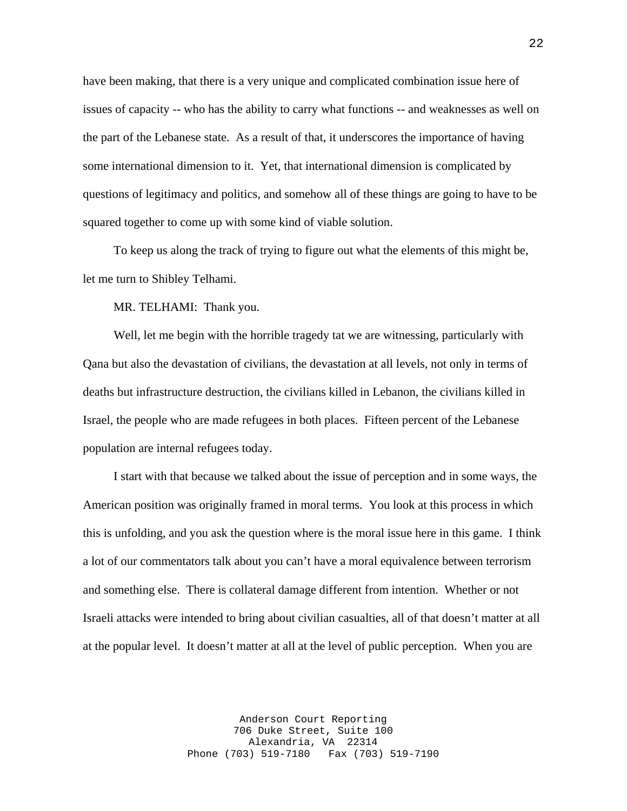have been making, that there is a very unique and complicated combination issue here of issues of capacity -- who has the ability to carry what functions -- and weaknesses as well on the part of the Lebanese state. As a result of that, it underscores the importance of having some international dimension to it. Yet, that international dimension is complicated by questions of legitimacy and politics, and somehow all of these things are going to have to be squared together to come up with some kind of viable solution.

 To keep us along the track of trying to figure out what the elements of this might be, let me turn to Shibley Telhami.

MR. TELHAMI: Thank you.

 Well, let me begin with the horrible tragedy tat we are witnessing, particularly with Qana but also the devastation of civilians, the devastation at all levels, not only in terms of deaths but infrastructure destruction, the civilians killed in Lebanon, the civilians killed in Israel, the people who are made refugees in both places. Fifteen percent of the Lebanese population are internal refugees today.

 I start with that because we talked about the issue of perception and in some ways, the American position was originally framed in moral terms. You look at this process in which this is unfolding, and you ask the question where is the moral issue here in this game. I think a lot of our commentators talk about you can't have a moral equivalence between terrorism and something else. There is collateral damage different from intention. Whether or not Israeli attacks were intended to bring about civilian casualties, all of that doesn't matter at all at the popular level. It doesn't matter at all at the level of public perception. When you are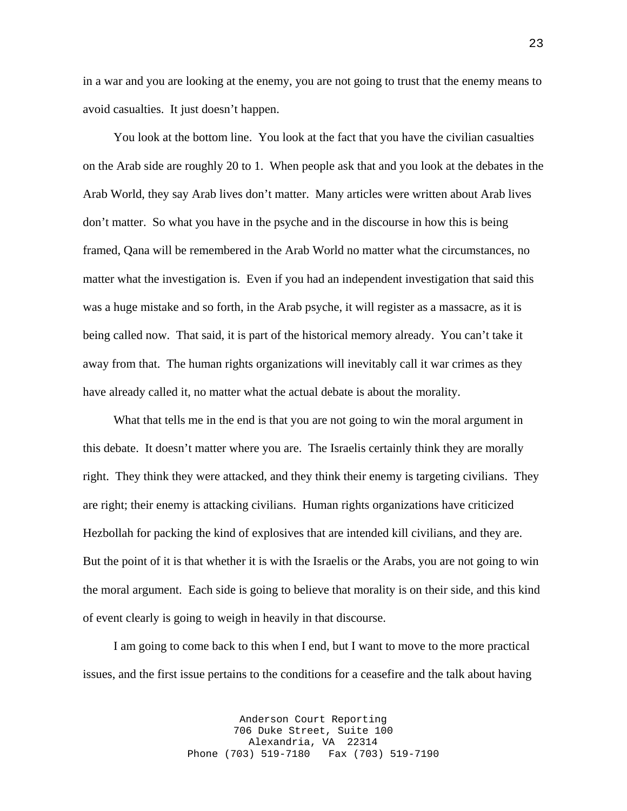in a war and you are looking at the enemy, you are not going to trust that the enemy means to avoid casualties. It just doesn't happen.

 You look at the bottom line. You look at the fact that you have the civilian casualties on the Arab side are roughly 20 to 1. When people ask that and you look at the debates in the Arab World, they say Arab lives don't matter. Many articles were written about Arab lives don't matter. So what you have in the psyche and in the discourse in how this is being framed, Qana will be remembered in the Arab World no matter what the circumstances, no matter what the investigation is. Even if you had an independent investigation that said this was a huge mistake and so forth, in the Arab psyche, it will register as a massacre, as it is being called now. That said, it is part of the historical memory already. You can't take it away from that. The human rights organizations will inevitably call it war crimes as they have already called it, no matter what the actual debate is about the morality.

 What that tells me in the end is that you are not going to win the moral argument in this debate. It doesn't matter where you are. The Israelis certainly think they are morally right. They think they were attacked, and they think their enemy is targeting civilians. They are right; their enemy is attacking civilians. Human rights organizations have criticized Hezbollah for packing the kind of explosives that are intended kill civilians, and they are. But the point of it is that whether it is with the Israelis or the Arabs, you are not going to win the moral argument. Each side is going to believe that morality is on their side, and this kind of event clearly is going to weigh in heavily in that discourse.

 I am going to come back to this when I end, but I want to move to the more practical issues, and the first issue pertains to the conditions for a ceasefire and the talk about having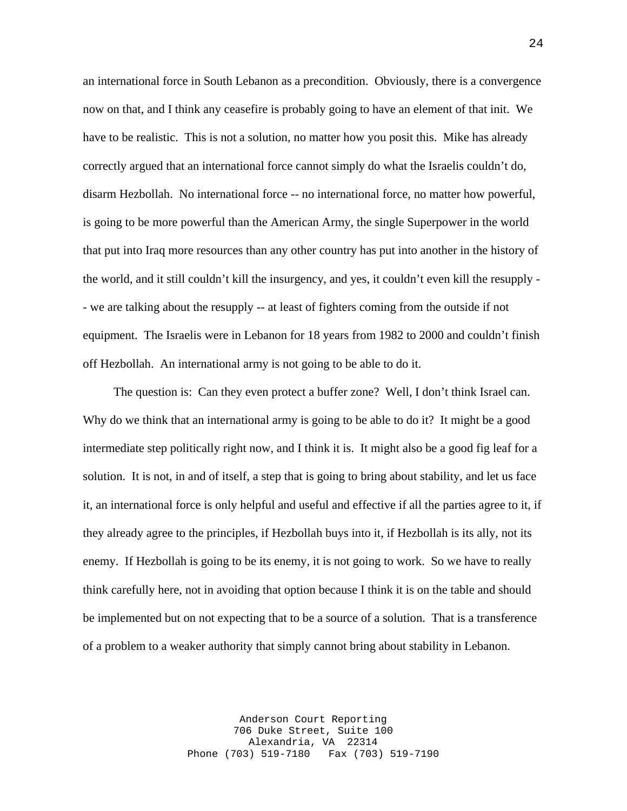an international force in South Lebanon as a precondition. Obviously, there is a convergence now on that, and I think any ceasefire is probably going to have an element of that init. We have to be realistic. This is not a solution, no matter how you posit this. Mike has already correctly argued that an international force cannot simply do what the Israelis couldn't do, disarm Hezbollah. No international force -- no international force, no matter how powerful, is going to be more powerful than the American Army, the single Superpower in the world that put into Iraq more resources than any other country has put into another in the history of the world, and it still couldn't kill the insurgency, and yes, it couldn't even kill the resupply - - we are talking about the resupply -- at least of fighters coming from the outside if not equipment. The Israelis were in Lebanon for 18 years from 1982 to 2000 and couldn't finish off Hezbollah. An international army is not going to be able to do it.

 The question is: Can they even protect a buffer zone? Well, I don't think Israel can. Why do we think that an international army is going to be able to do it? It might be a good intermediate step politically right now, and I think it is. It might also be a good fig leaf for a solution. It is not, in and of itself, a step that is going to bring about stability, and let us face it, an international force is only helpful and useful and effective if all the parties agree to it, if they already agree to the principles, if Hezbollah buys into it, if Hezbollah is its ally, not its enemy. If Hezbollah is going to be its enemy, it is not going to work. So we have to really think carefully here, not in avoiding that option because I think it is on the table and should be implemented but on not expecting that to be a source of a solution. That is a transference of a problem to a weaker authority that simply cannot bring about stability in Lebanon.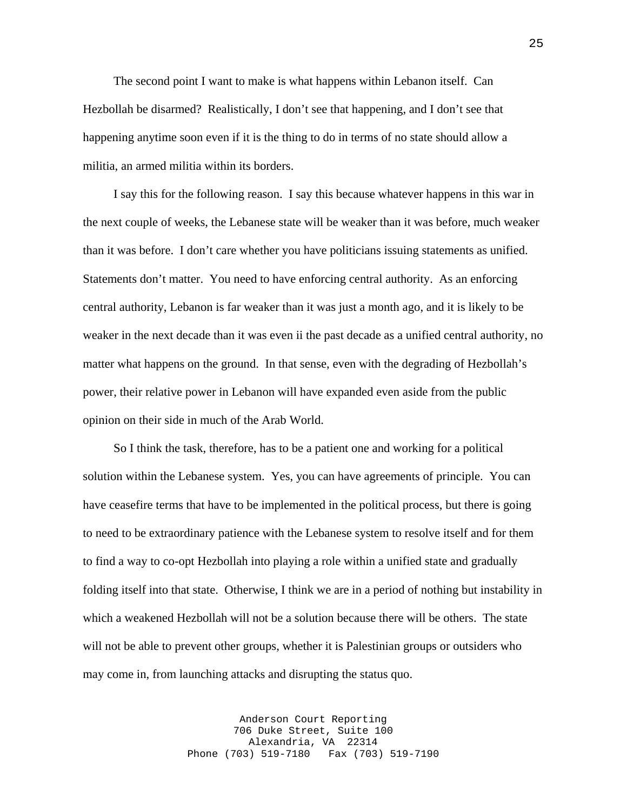The second point I want to make is what happens within Lebanon itself. Can Hezbollah be disarmed? Realistically, I don't see that happening, and I don't see that happening anytime soon even if it is the thing to do in terms of no state should allow a militia, an armed militia within its borders.

 I say this for the following reason. I say this because whatever happens in this war in the next couple of weeks, the Lebanese state will be weaker than it was before, much weaker than it was before. I don't care whether you have politicians issuing statements as unified. Statements don't matter. You need to have enforcing central authority. As an enforcing central authority, Lebanon is far weaker than it was just a month ago, and it is likely to be weaker in the next decade than it was even ii the past decade as a unified central authority, no matter what happens on the ground. In that sense, even with the degrading of Hezbollah's power, their relative power in Lebanon will have expanded even aside from the public opinion on their side in much of the Arab World.

 So I think the task, therefore, has to be a patient one and working for a political solution within the Lebanese system. Yes, you can have agreements of principle. You can have ceasefire terms that have to be implemented in the political process, but there is going to need to be extraordinary patience with the Lebanese system to resolve itself and for them to find a way to co-opt Hezbollah into playing a role within a unified state and gradually folding itself into that state. Otherwise, I think we are in a period of nothing but instability in which a weakened Hezbollah will not be a solution because there will be others. The state will not be able to prevent other groups, whether it is Palestinian groups or outsiders who may come in, from launching attacks and disrupting the status quo.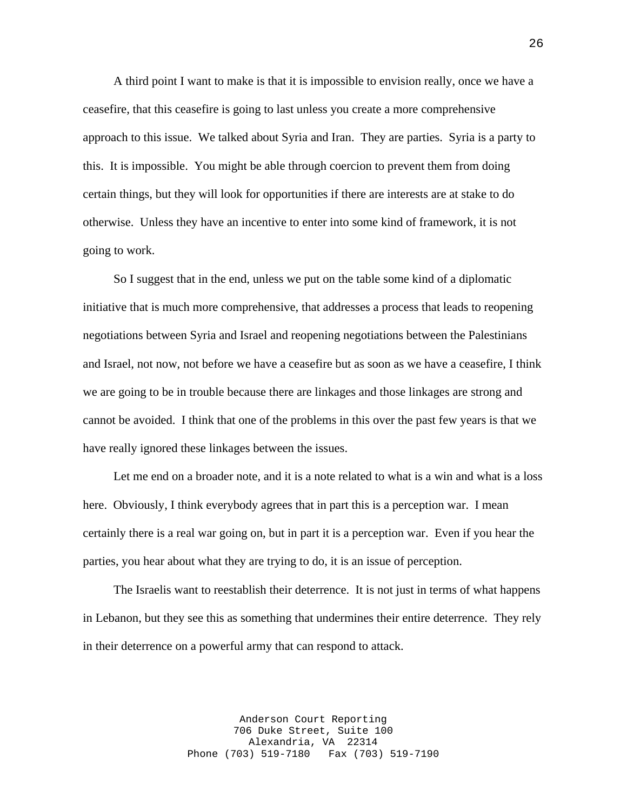A third point I want to make is that it is impossible to envision really, once we have a ceasefire, that this ceasefire is going to last unless you create a more comprehensive approach to this issue. We talked about Syria and Iran. They are parties. Syria is a party to this. It is impossible. You might be able through coercion to prevent them from doing certain things, but they will look for opportunities if there are interests are at stake to do otherwise. Unless they have an incentive to enter into some kind of framework, it is not going to work.

 So I suggest that in the end, unless we put on the table some kind of a diplomatic initiative that is much more comprehensive, that addresses a process that leads to reopening negotiations between Syria and Israel and reopening negotiations between the Palestinians and Israel, not now, not before we have a ceasefire but as soon as we have a ceasefire, I think we are going to be in trouble because there are linkages and those linkages are strong and cannot be avoided. I think that one of the problems in this over the past few years is that we have really ignored these linkages between the issues.

 Let me end on a broader note, and it is a note related to what is a win and what is a loss here. Obviously, I think everybody agrees that in part this is a perception war. I mean certainly there is a real war going on, but in part it is a perception war. Even if you hear the parties, you hear about what they are trying to do, it is an issue of perception.

 The Israelis want to reestablish their deterrence. It is not just in terms of what happens in Lebanon, but they see this as something that undermines their entire deterrence. They rely in their deterrence on a powerful army that can respond to attack.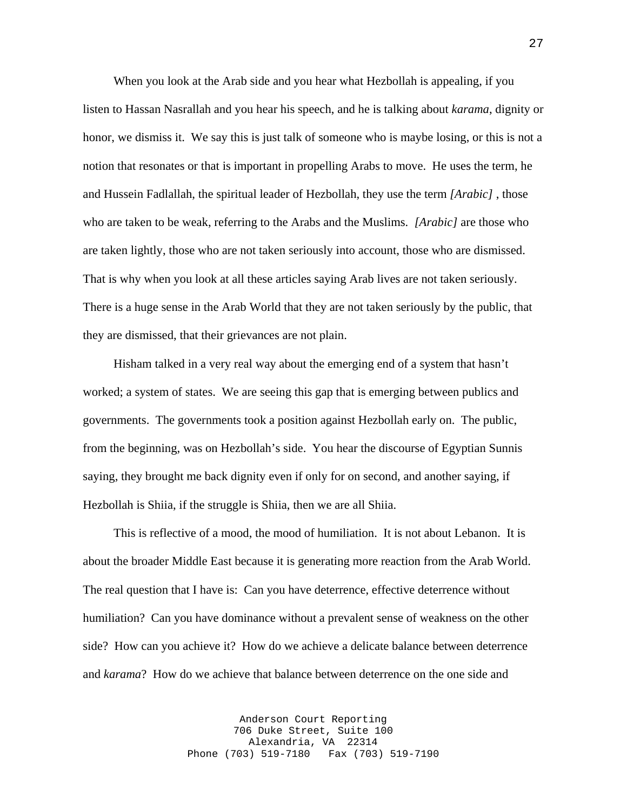When you look at the Arab side and you hear what Hezbollah is appealing, if you listen to Hassan Nasrallah and you hear his speech, and he is talking about *karama*, dignity or honor, we dismiss it. We say this is just talk of someone who is maybe losing, or this is not a notion that resonates or that is important in propelling Arabs to move. He uses the term, he and Hussein Fadlallah, the spiritual leader of Hezbollah, they use the term *[Arabic]* , those who are taken to be weak, referring to the Arabs and the Muslims. *[Arabic]* are those who are taken lightly, those who are not taken seriously into account, those who are dismissed. That is why when you look at all these articles saying Arab lives are not taken seriously. There is a huge sense in the Arab World that they are not taken seriously by the public, that they are dismissed, that their grievances are not plain.

 Hisham talked in a very real way about the emerging end of a system that hasn't worked; a system of states. We are seeing this gap that is emerging between publics and governments. The governments took a position against Hezbollah early on. The public, from the beginning, was on Hezbollah's side. You hear the discourse of Egyptian Sunnis saying, they brought me back dignity even if only for on second, and another saying, if Hezbollah is Shiia, if the struggle is Shiia, then we are all Shiia.

 This is reflective of a mood, the mood of humiliation. It is not about Lebanon. It is about the broader Middle East because it is generating more reaction from the Arab World. The real question that I have is: Can you have deterrence, effective deterrence without humiliation? Can you have dominance without a prevalent sense of weakness on the other side? How can you achieve it? How do we achieve a delicate balance between deterrence and *karama*? How do we achieve that balance between deterrence on the one side and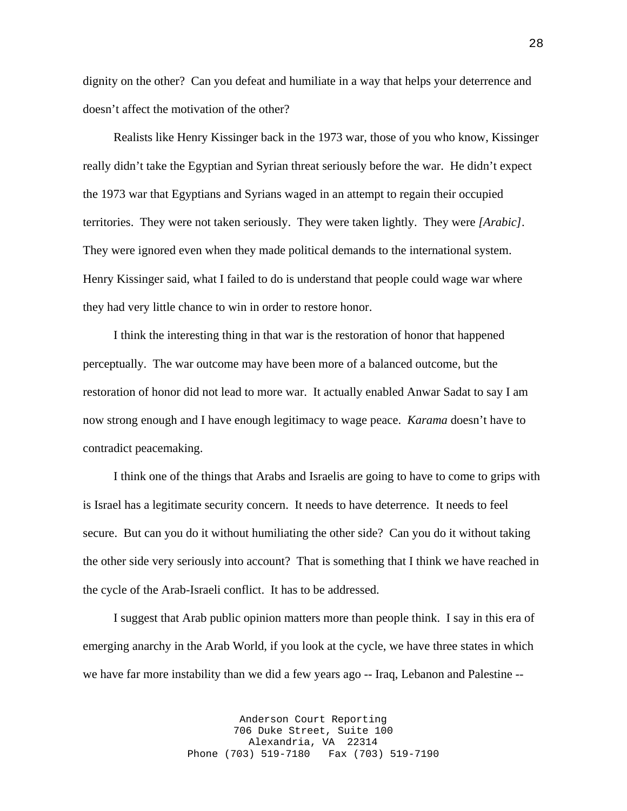dignity on the other? Can you defeat and humiliate in a way that helps your deterrence and doesn't affect the motivation of the other?

 Realists like Henry Kissinger back in the 1973 war, those of you who know, Kissinger really didn't take the Egyptian and Syrian threat seriously before the war. He didn't expect the 1973 war that Egyptians and Syrians waged in an attempt to regain their occupied territories. They were not taken seriously. They were taken lightly. They were *[Arabic]*. They were ignored even when they made political demands to the international system. Henry Kissinger said, what I failed to do is understand that people could wage war where they had very little chance to win in order to restore honor.

 I think the interesting thing in that war is the restoration of honor that happened perceptually. The war outcome may have been more of a balanced outcome, but the restoration of honor did not lead to more war. It actually enabled Anwar Sadat to say I am now strong enough and I have enough legitimacy to wage peace. *Karama* doesn't have to contradict peacemaking.

 I think one of the things that Arabs and Israelis are going to have to come to grips with is Israel has a legitimate security concern. It needs to have deterrence. It needs to feel secure. But can you do it without humiliating the other side? Can you do it without taking the other side very seriously into account? That is something that I think we have reached in the cycle of the Arab-Israeli conflict. It has to be addressed.

 I suggest that Arab public opinion matters more than people think. I say in this era of emerging anarchy in the Arab World, if you look at the cycle, we have three states in which we have far more instability than we did a few years ago -- Iraq, Lebanon and Palestine --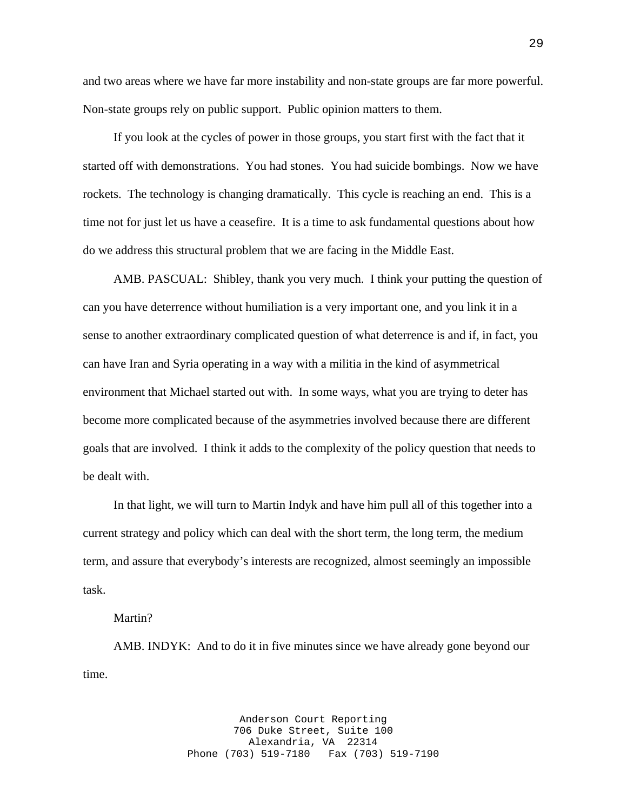and two areas where we have far more instability and non-state groups are far more powerful. Non-state groups rely on public support. Public opinion matters to them.

 If you look at the cycles of power in those groups, you start first with the fact that it started off with demonstrations. You had stones. You had suicide bombings. Now we have rockets. The technology is changing dramatically. This cycle is reaching an end. This is a time not for just let us have a ceasefire. It is a time to ask fundamental questions about how do we address this structural problem that we are facing in the Middle East.

 AMB. PASCUAL: Shibley, thank you very much. I think your putting the question of can you have deterrence without humiliation is a very important one, and you link it in a sense to another extraordinary complicated question of what deterrence is and if, in fact, you can have Iran and Syria operating in a way with a militia in the kind of asymmetrical environment that Michael started out with. In some ways, what you are trying to deter has become more complicated because of the asymmetries involved because there are different goals that are involved. I think it adds to the complexity of the policy question that needs to be dealt with.

 In that light, we will turn to Martin Indyk and have him pull all of this together into a current strategy and policy which can deal with the short term, the long term, the medium term, and assure that everybody's interests are recognized, almost seemingly an impossible task.

### Martin?

 AMB. INDYK: And to do it in five minutes since we have already gone beyond our time.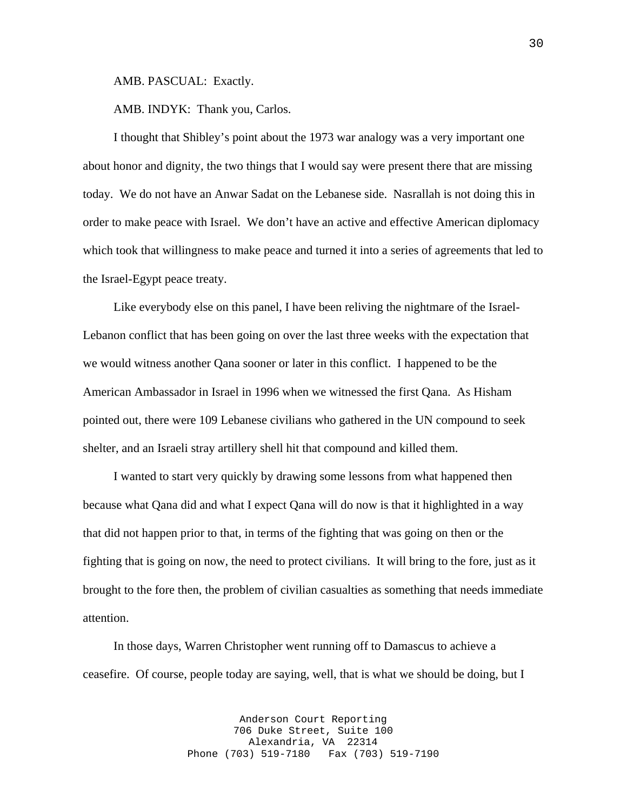AMB. PASCUAL: Exactly.

AMB. INDYK: Thank you, Carlos.

 I thought that Shibley's point about the 1973 war analogy was a very important one about honor and dignity, the two things that I would say were present there that are missing today. We do not have an Anwar Sadat on the Lebanese side. Nasrallah is not doing this in order to make peace with Israel. We don't have an active and effective American diplomacy which took that willingness to make peace and turned it into a series of agreements that led to the Israel-Egypt peace treaty.

 Like everybody else on this panel, I have been reliving the nightmare of the Israel-Lebanon conflict that has been going on over the last three weeks with the expectation that we would witness another Qana sooner or later in this conflict. I happened to be the American Ambassador in Israel in 1996 when we witnessed the first Qana. As Hisham pointed out, there were 109 Lebanese civilians who gathered in the UN compound to seek shelter, and an Israeli stray artillery shell hit that compound and killed them.

 I wanted to start very quickly by drawing some lessons from what happened then because what Qana did and what I expect Qana will do now is that it highlighted in a way that did not happen prior to that, in terms of the fighting that was going on then or the fighting that is going on now, the need to protect civilians. It will bring to the fore, just as it brought to the fore then, the problem of civilian casualties as something that needs immediate attention.

 In those days, Warren Christopher went running off to Damascus to achieve a ceasefire. Of course, people today are saying, well, that is what we should be doing, but I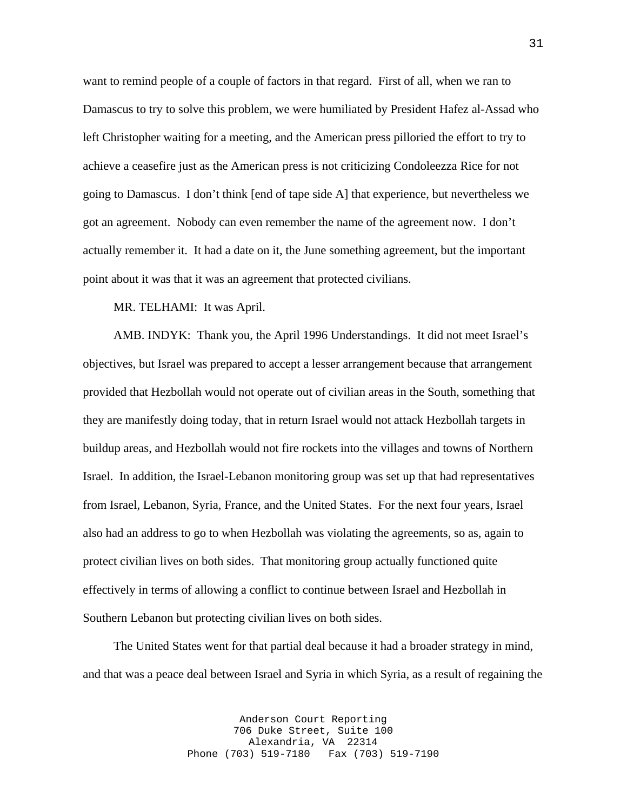want to remind people of a couple of factors in that regard. First of all, when we ran to Damascus to try to solve this problem, we were humiliated by President Hafez al-Assad who left Christopher waiting for a meeting, and the American press pilloried the effort to try to achieve a ceasefire just as the American press is not criticizing Condoleezza Rice for not going to Damascus. I don't think [end of tape side A] that experience, but nevertheless we got an agreement. Nobody can even remember the name of the agreement now. I don't actually remember it. It had a date on it, the June something agreement, but the important point about it was that it was an agreement that protected civilians.

MR. TELHAMI: It was April.

 AMB. INDYK: Thank you, the April 1996 Understandings. It did not meet Israel's objectives, but Israel was prepared to accept a lesser arrangement because that arrangement provided that Hezbollah would not operate out of civilian areas in the South, something that they are manifestly doing today, that in return Israel would not attack Hezbollah targets in buildup areas, and Hezbollah would not fire rockets into the villages and towns of Northern Israel. In addition, the Israel-Lebanon monitoring group was set up that had representatives from Israel, Lebanon, Syria, France, and the United States. For the next four years, Israel also had an address to go to when Hezbollah was violating the agreements, so as, again to protect civilian lives on both sides. That monitoring group actually functioned quite effectively in terms of allowing a conflict to continue between Israel and Hezbollah in Southern Lebanon but protecting civilian lives on both sides.

 The United States went for that partial deal because it had a broader strategy in mind, and that was a peace deal between Israel and Syria in which Syria, as a result of regaining the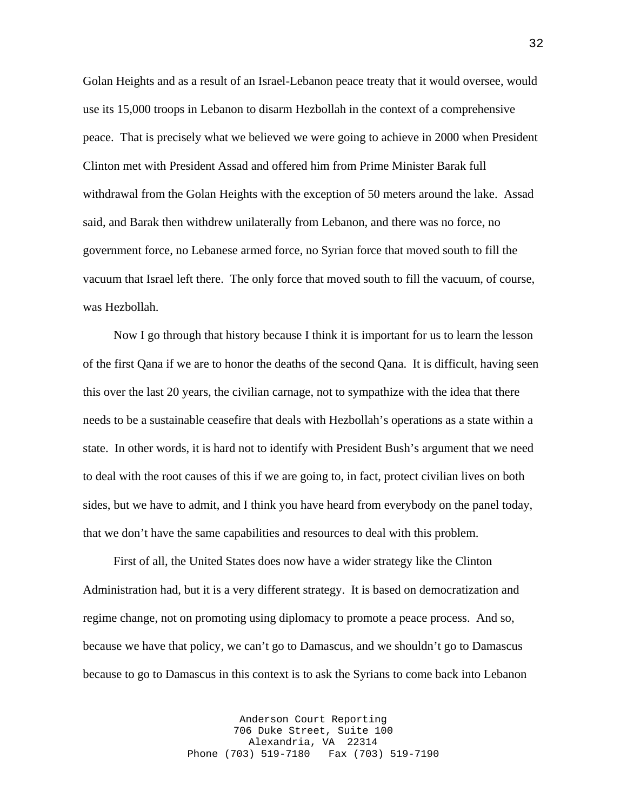Golan Heights and as a result of an Israel-Lebanon peace treaty that it would oversee, would use its 15,000 troops in Lebanon to disarm Hezbollah in the context of a comprehensive peace. That is precisely what we believed we were going to achieve in 2000 when President Clinton met with President Assad and offered him from Prime Minister Barak full withdrawal from the Golan Heights with the exception of 50 meters around the lake. Assad said, and Barak then withdrew unilaterally from Lebanon, and there was no force, no government force, no Lebanese armed force, no Syrian force that moved south to fill the vacuum that Israel left there. The only force that moved south to fill the vacuum, of course, was Hezbollah.

 Now I go through that history because I think it is important for us to learn the lesson of the first Qana if we are to honor the deaths of the second Qana. It is difficult, having seen this over the last 20 years, the civilian carnage, not to sympathize with the idea that there needs to be a sustainable ceasefire that deals with Hezbollah's operations as a state within a state. In other words, it is hard not to identify with President Bush's argument that we need to deal with the root causes of this if we are going to, in fact, protect civilian lives on both sides, but we have to admit, and I think you have heard from everybody on the panel today, that we don't have the same capabilities and resources to deal with this problem.

 First of all, the United States does now have a wider strategy like the Clinton Administration had, but it is a very different strategy. It is based on democratization and regime change, not on promoting using diplomacy to promote a peace process. And so, because we have that policy, we can't go to Damascus, and we shouldn't go to Damascus because to go to Damascus in this context is to ask the Syrians to come back into Lebanon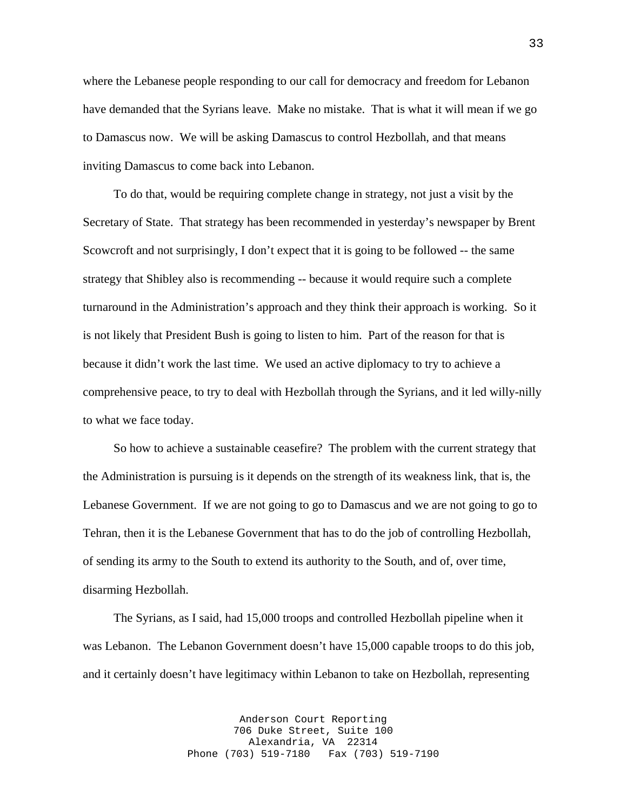where the Lebanese people responding to our call for democracy and freedom for Lebanon have demanded that the Syrians leave. Make no mistake. That is what it will mean if we go to Damascus now. We will be asking Damascus to control Hezbollah, and that means inviting Damascus to come back into Lebanon.

 To do that, would be requiring complete change in strategy, not just a visit by the Secretary of State. That strategy has been recommended in yesterday's newspaper by Brent Scowcroft and not surprisingly, I don't expect that it is going to be followed -- the same strategy that Shibley also is recommending -- because it would require such a complete turnaround in the Administration's approach and they think their approach is working. So it is not likely that President Bush is going to listen to him. Part of the reason for that is because it didn't work the last time. We used an active diplomacy to try to achieve a comprehensive peace, to try to deal with Hezbollah through the Syrians, and it led willy-nilly to what we face today.

 So how to achieve a sustainable ceasefire? The problem with the current strategy that the Administration is pursuing is it depends on the strength of its weakness link, that is, the Lebanese Government. If we are not going to go to Damascus and we are not going to go to Tehran, then it is the Lebanese Government that has to do the job of controlling Hezbollah, of sending its army to the South to extend its authority to the South, and of, over time, disarming Hezbollah.

 The Syrians, as I said, had 15,000 troops and controlled Hezbollah pipeline when it was Lebanon. The Lebanon Government doesn't have 15,000 capable troops to do this job, and it certainly doesn't have legitimacy within Lebanon to take on Hezbollah, representing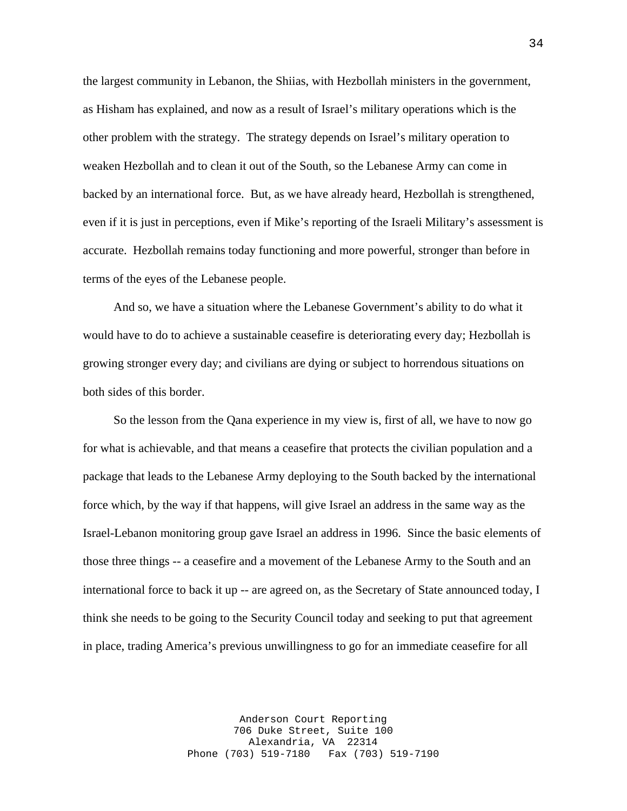the largest community in Lebanon, the Shiias, with Hezbollah ministers in the government, as Hisham has explained, and now as a result of Israel's military operations which is the other problem with the strategy. The strategy depends on Israel's military operation to weaken Hezbollah and to clean it out of the South, so the Lebanese Army can come in backed by an international force. But, as we have already heard, Hezbollah is strengthened, even if it is just in perceptions, even if Mike's reporting of the Israeli Military's assessment is accurate. Hezbollah remains today functioning and more powerful, stronger than before in terms of the eyes of the Lebanese people.

 And so, we have a situation where the Lebanese Government's ability to do what it would have to do to achieve a sustainable ceasefire is deteriorating every day; Hezbollah is growing stronger every day; and civilians are dying or subject to horrendous situations on both sides of this border.

 So the lesson from the Qana experience in my view is, first of all, we have to now go for what is achievable, and that means a ceasefire that protects the civilian population and a package that leads to the Lebanese Army deploying to the South backed by the international force which, by the way if that happens, will give Israel an address in the same way as the Israel-Lebanon monitoring group gave Israel an address in 1996. Since the basic elements of those three things -- a ceasefire and a movement of the Lebanese Army to the South and an international force to back it up -- are agreed on, as the Secretary of State announced today, I think she needs to be going to the Security Council today and seeking to put that agreement in place, trading America's previous unwillingness to go for an immediate ceasefire for all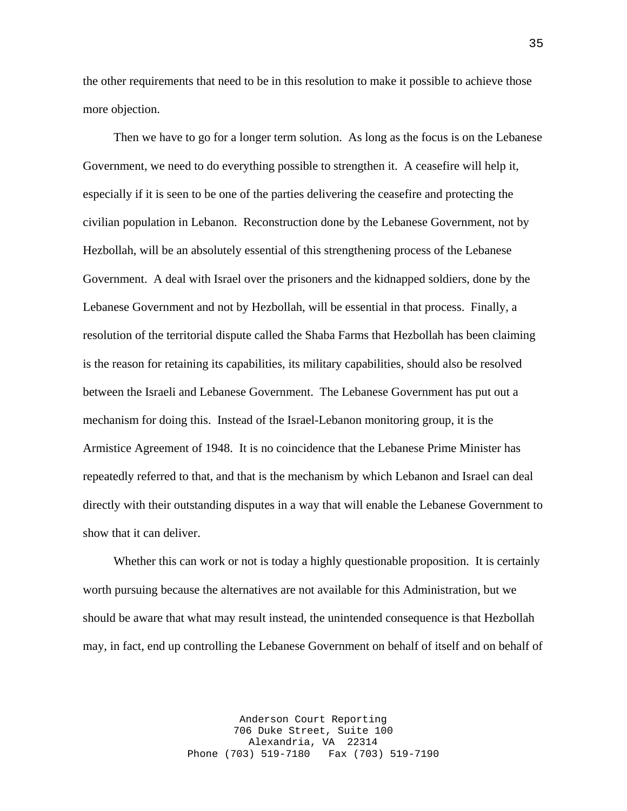the other requirements that need to be in this resolution to make it possible to achieve those more objection.

 Then we have to go for a longer term solution. As long as the focus is on the Lebanese Government, we need to do everything possible to strengthen it. A ceasefire will help it, especially if it is seen to be one of the parties delivering the ceasefire and protecting the civilian population in Lebanon. Reconstruction done by the Lebanese Government, not by Hezbollah, will be an absolutely essential of this strengthening process of the Lebanese Government. A deal with Israel over the prisoners and the kidnapped soldiers, done by the Lebanese Government and not by Hezbollah, will be essential in that process. Finally, a resolution of the territorial dispute called the Shaba Farms that Hezbollah has been claiming is the reason for retaining its capabilities, its military capabilities, should also be resolved between the Israeli and Lebanese Government. The Lebanese Government has put out a mechanism for doing this. Instead of the Israel-Lebanon monitoring group, it is the Armistice Agreement of 1948. It is no coincidence that the Lebanese Prime Minister has repeatedly referred to that, and that is the mechanism by which Lebanon and Israel can deal directly with their outstanding disputes in a way that will enable the Lebanese Government to show that it can deliver.

 Whether this can work or not is today a highly questionable proposition. It is certainly worth pursuing because the alternatives are not available for this Administration, but we should be aware that what may result instead, the unintended consequence is that Hezbollah may, in fact, end up controlling the Lebanese Government on behalf of itself and on behalf of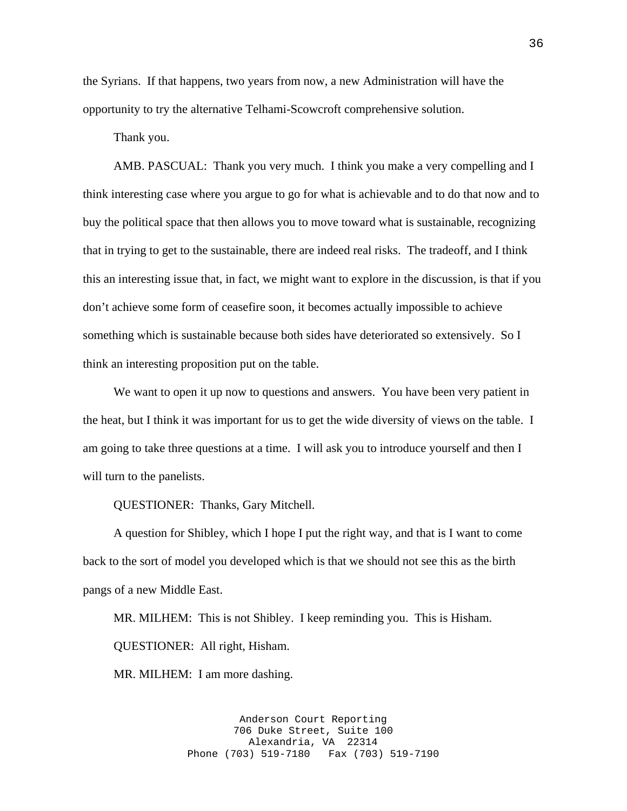the Syrians. If that happens, two years from now, a new Administration will have the opportunity to try the alternative Telhami-Scowcroft comprehensive solution.

Thank you.

 AMB. PASCUAL: Thank you very much. I think you make a very compelling and I think interesting case where you argue to go for what is achievable and to do that now and to buy the political space that then allows you to move toward what is sustainable, recognizing that in trying to get to the sustainable, there are indeed real risks. The tradeoff, and I think this an interesting issue that, in fact, we might want to explore in the discussion, is that if you don't achieve some form of ceasefire soon, it becomes actually impossible to achieve something which is sustainable because both sides have deteriorated so extensively. So I think an interesting proposition put on the table.

 We want to open it up now to questions and answers. You have been very patient in the heat, but I think it was important for us to get the wide diversity of views on the table. I am going to take three questions at a time. I will ask you to introduce yourself and then I will turn to the panelists.

QUESTIONER: Thanks, Gary Mitchell.

 A question for Shibley, which I hope I put the right way, and that is I want to come back to the sort of model you developed which is that we should not see this as the birth pangs of a new Middle East.

 MR. MILHEM: This is not Shibley. I keep reminding you. This is Hisham. QUESTIONER: All right, Hisham.

MR. MILHEM: I am more dashing.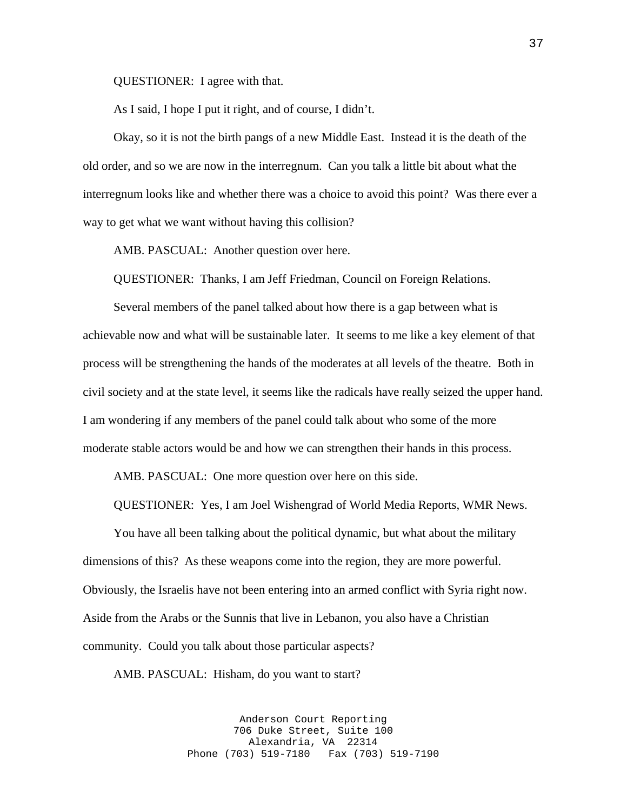QUESTIONER: I agree with that.

As I said, I hope I put it right, and of course, I didn't.

 Okay, so it is not the birth pangs of a new Middle East. Instead it is the death of the old order, and so we are now in the interregnum. Can you talk a little bit about what the interregnum looks like and whether there was a choice to avoid this point? Was there ever a way to get what we want without having this collision?

AMB. PASCUAL: Another question over here.

QUESTIONER: Thanks, I am Jeff Friedman, Council on Foreign Relations.

 Several members of the panel talked about how there is a gap between what is achievable now and what will be sustainable later. It seems to me like a key element of that process will be strengthening the hands of the moderates at all levels of the theatre. Both in civil society and at the state level, it seems like the radicals have really seized the upper hand. I am wondering if any members of the panel could talk about who some of the more moderate stable actors would be and how we can strengthen their hands in this process.

AMB. PASCUAL: One more question over here on this side.

QUESTIONER: Yes, I am Joel Wishengrad of World Media Reports, WMR News.

 You have all been talking about the political dynamic, but what about the military dimensions of this? As these weapons come into the region, they are more powerful. Obviously, the Israelis have not been entering into an armed conflict with Syria right now. Aside from the Arabs or the Sunnis that live in Lebanon, you also have a Christian community. Could you talk about those particular aspects?

AMB. PASCUAL: Hisham, do you want to start?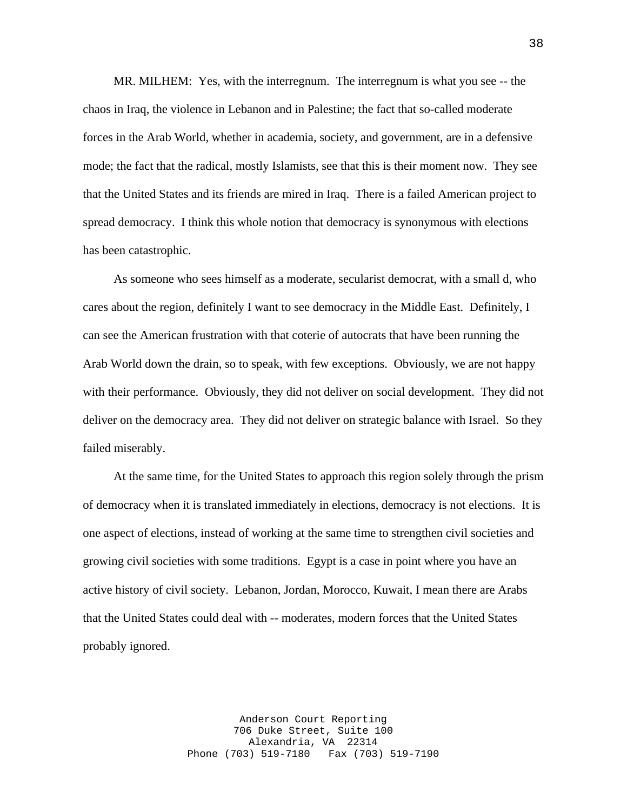MR. MILHEM: Yes, with the interregnum. The interregnum is what you see -- the chaos in Iraq, the violence in Lebanon and in Palestine; the fact that so-called moderate forces in the Arab World, whether in academia, society, and government, are in a defensive mode; the fact that the radical, mostly Islamists, see that this is their moment now. They see that the United States and its friends are mired in Iraq. There is a failed American project to spread democracy. I think this whole notion that democracy is synonymous with elections has been catastrophic.

 As someone who sees himself as a moderate, secularist democrat, with a small d, who cares about the region, definitely I want to see democracy in the Middle East. Definitely, I can see the American frustration with that coterie of autocrats that have been running the Arab World down the drain, so to speak, with few exceptions. Obviously, we are not happy with their performance. Obviously, they did not deliver on social development. They did not deliver on the democracy area. They did not deliver on strategic balance with Israel. So they failed miserably.

 At the same time, for the United States to approach this region solely through the prism of democracy when it is translated immediately in elections, democracy is not elections. It is one aspect of elections, instead of working at the same time to strengthen civil societies and growing civil societies with some traditions. Egypt is a case in point where you have an active history of civil society. Lebanon, Jordan, Morocco, Kuwait, I mean there are Arabs that the United States could deal with -- moderates, modern forces that the United States probably ignored.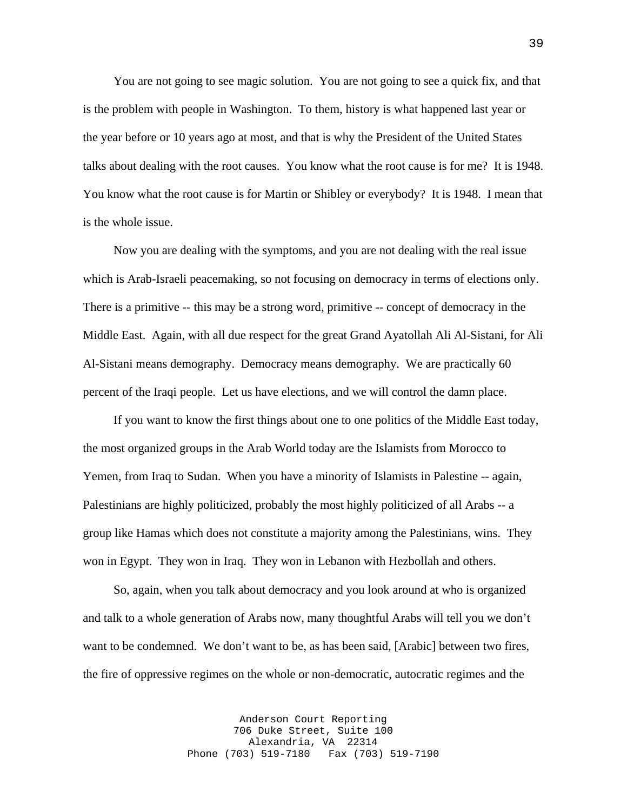You are not going to see magic solution. You are not going to see a quick fix, and that is the problem with people in Washington. To them, history is what happened last year or the year before or 10 years ago at most, and that is why the President of the United States talks about dealing with the root causes. You know what the root cause is for me? It is 1948. You know what the root cause is for Martin or Shibley or everybody? It is 1948. I mean that is the whole issue.

 Now you are dealing with the symptoms, and you are not dealing with the real issue which is Arab-Israeli peacemaking, so not focusing on democracy in terms of elections only. There is a primitive -- this may be a strong word, primitive -- concept of democracy in the Middle East. Again, with all due respect for the great Grand Ayatollah Ali Al-Sistani, for Ali Al-Sistani means demography. Democracy means demography. We are practically 60 percent of the Iraqi people. Let us have elections, and we will control the damn place.

 If you want to know the first things about one to one politics of the Middle East today, the most organized groups in the Arab World today are the Islamists from Morocco to Yemen, from Iraq to Sudan. When you have a minority of Islamists in Palestine -- again, Palestinians are highly politicized, probably the most highly politicized of all Arabs -- a group like Hamas which does not constitute a majority among the Palestinians, wins. They won in Egypt. They won in Iraq. They won in Lebanon with Hezbollah and others.

 So, again, when you talk about democracy and you look around at who is organized and talk to a whole generation of Arabs now, many thoughtful Arabs will tell you we don't want to be condemned. We don't want to be, as has been said, [Arabic] between two fires, the fire of oppressive regimes on the whole or non-democratic, autocratic regimes and the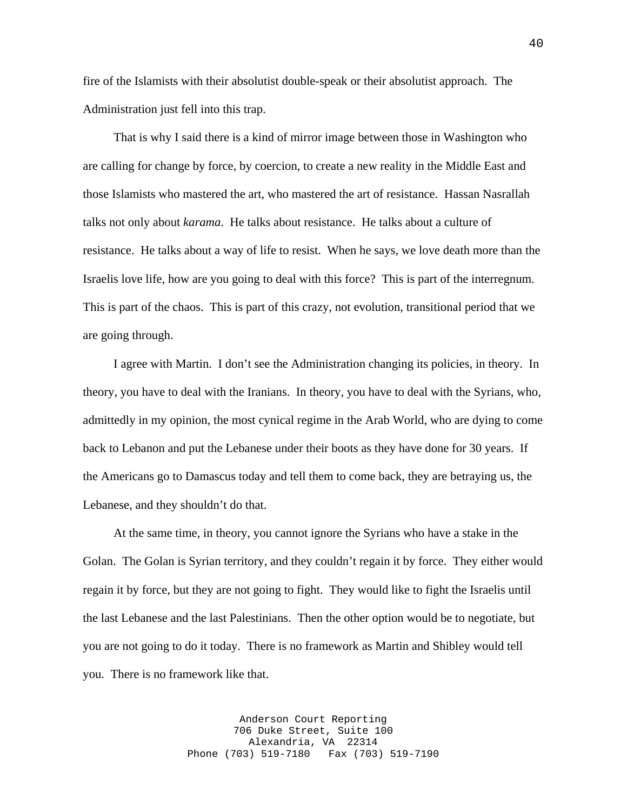fire of the Islamists with their absolutist double-speak or their absolutist approach. The Administration just fell into this trap.

 That is why I said there is a kind of mirror image between those in Washington who are calling for change by force, by coercion, to create a new reality in the Middle East and those Islamists who mastered the art, who mastered the art of resistance. Hassan Nasrallah talks not only about *karama*. He talks about resistance. He talks about a culture of resistance. He talks about a way of life to resist. When he says, we love death more than the Israelis love life, how are you going to deal with this force? This is part of the interregnum. This is part of the chaos. This is part of this crazy, not evolution, transitional period that we are going through.

 I agree with Martin. I don't see the Administration changing its policies, in theory. In theory, you have to deal with the Iranians. In theory, you have to deal with the Syrians, who, admittedly in my opinion, the most cynical regime in the Arab World, who are dying to come back to Lebanon and put the Lebanese under their boots as they have done for 30 years. If the Americans go to Damascus today and tell them to come back, they are betraying us, the Lebanese, and they shouldn't do that.

 At the same time, in theory, you cannot ignore the Syrians who have a stake in the Golan. The Golan is Syrian territory, and they couldn't regain it by force. They either would regain it by force, but they are not going to fight. They would like to fight the Israelis until the last Lebanese and the last Palestinians. Then the other option would be to negotiate, but you are not going to do it today. There is no framework as Martin and Shibley would tell you. There is no framework like that.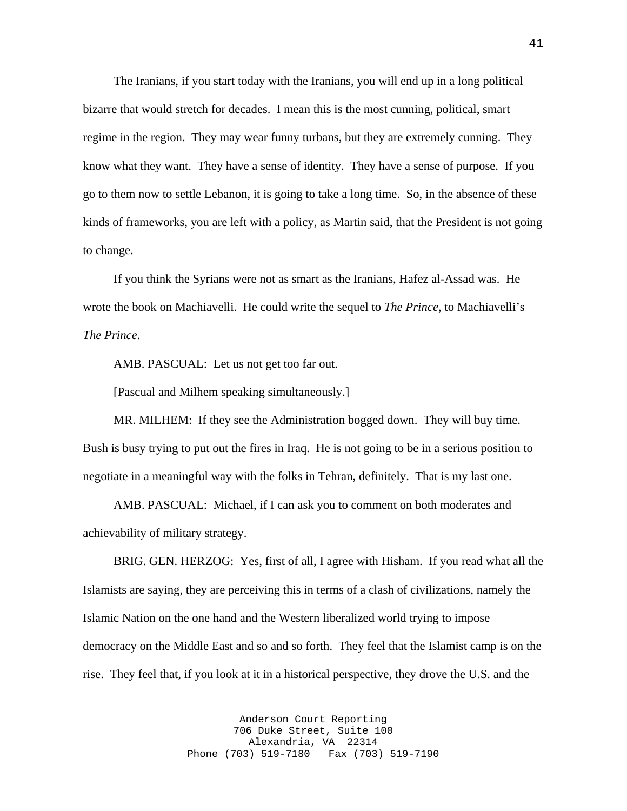The Iranians, if you start today with the Iranians, you will end up in a long political bizarre that would stretch for decades. I mean this is the most cunning, political, smart regime in the region. They may wear funny turbans, but they are extremely cunning. They know what they want. They have a sense of identity. They have a sense of purpose. If you go to them now to settle Lebanon, it is going to take a long time. So, in the absence of these kinds of frameworks, you are left with a policy, as Martin said, that the President is not going to change.

 If you think the Syrians were not as smart as the Iranians, Hafez al-Assad was. He wrote the book on Machiavelli. He could write the sequel to *The Prince*, to Machiavelli's *The Prince*.

AMB. PASCUAL: Let us not get too far out.

[Pascual and Milhem speaking simultaneously.]

 MR. MILHEM: If they see the Administration bogged down. They will buy time. Bush is busy trying to put out the fires in Iraq. He is not going to be in a serious position to negotiate in a meaningful way with the folks in Tehran, definitely. That is my last one.

 AMB. PASCUAL: Michael, if I can ask you to comment on both moderates and achievability of military strategy.

 BRIG. GEN. HERZOG: Yes, first of all, I agree with Hisham. If you read what all the Islamists are saying, they are perceiving this in terms of a clash of civilizations, namely the Islamic Nation on the one hand and the Western liberalized world trying to impose democracy on the Middle East and so and so forth. They feel that the Islamist camp is on the rise. They feel that, if you look at it in a historical perspective, they drove the U.S. and the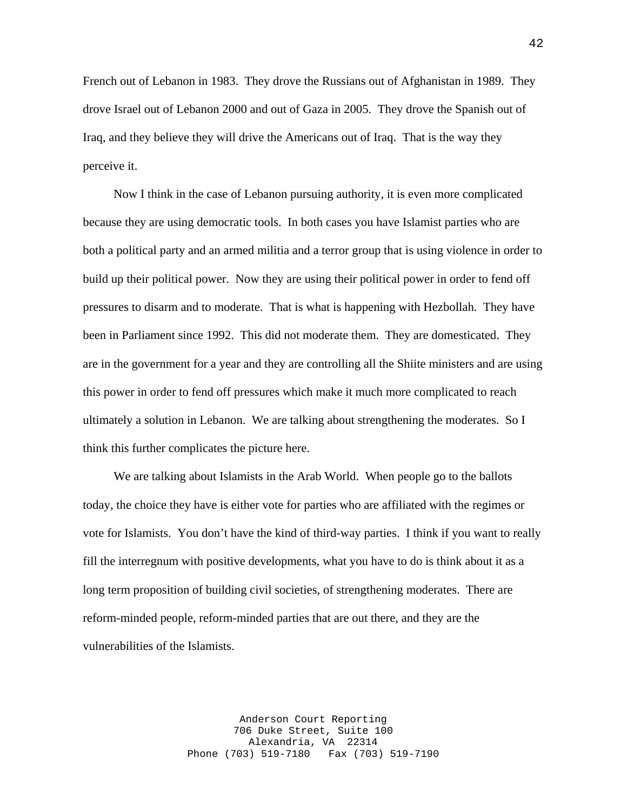French out of Lebanon in 1983. They drove the Russians out of Afghanistan in 1989. They drove Israel out of Lebanon 2000 and out of Gaza in 2005. They drove the Spanish out of Iraq, and they believe they will drive the Americans out of Iraq. That is the way they perceive it.

 Now I think in the case of Lebanon pursuing authority, it is even more complicated because they are using democratic tools. In both cases you have Islamist parties who are both a political party and an armed militia and a terror group that is using violence in order to build up their political power. Now they are using their political power in order to fend off pressures to disarm and to moderate. That is what is happening with Hezbollah. They have been in Parliament since 1992. This did not moderate them. They are domesticated. They are in the government for a year and they are controlling all the Shiite ministers and are using this power in order to fend off pressures which make it much more complicated to reach ultimately a solution in Lebanon. We are talking about strengthening the moderates. So I think this further complicates the picture here.

 We are talking about Islamists in the Arab World. When people go to the ballots today, the choice they have is either vote for parties who are affiliated with the regimes or vote for Islamists. You don't have the kind of third-way parties. I think if you want to really fill the interregnum with positive developments, what you have to do is think about it as a long term proposition of building civil societies, of strengthening moderates. There are reform-minded people, reform-minded parties that are out there, and they are the vulnerabilities of the Islamists.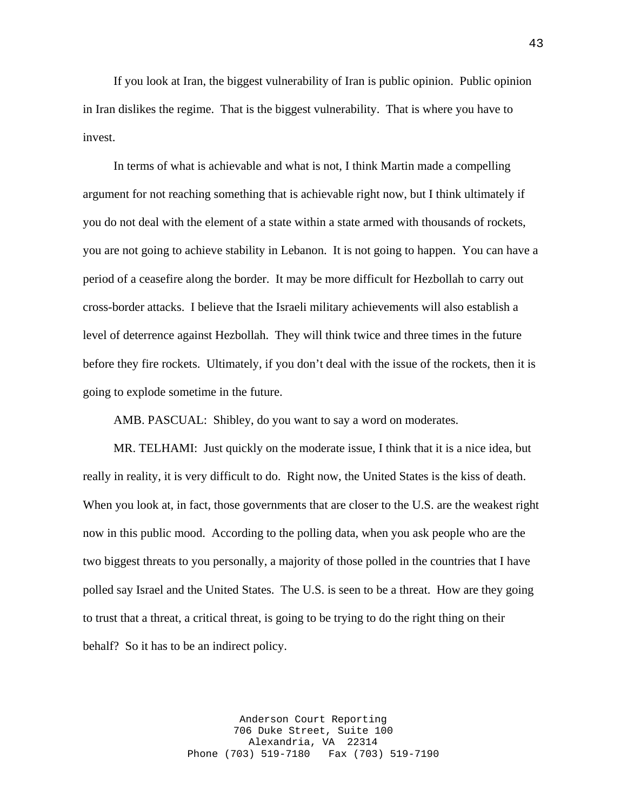If you look at Iran, the biggest vulnerability of Iran is public opinion. Public opinion in Iran dislikes the regime. That is the biggest vulnerability. That is where you have to invest.

 In terms of what is achievable and what is not, I think Martin made a compelling argument for not reaching something that is achievable right now, but I think ultimately if you do not deal with the element of a state within a state armed with thousands of rockets, you are not going to achieve stability in Lebanon. It is not going to happen. You can have a period of a ceasefire along the border. It may be more difficult for Hezbollah to carry out cross-border attacks. I believe that the Israeli military achievements will also establish a level of deterrence against Hezbollah. They will think twice and three times in the future before they fire rockets. Ultimately, if you don't deal with the issue of the rockets, then it is going to explode sometime in the future.

AMB. PASCUAL: Shibley, do you want to say a word on moderates.

 MR. TELHAMI: Just quickly on the moderate issue, I think that it is a nice idea, but really in reality, it is very difficult to do. Right now, the United States is the kiss of death. When you look at, in fact, those governments that are closer to the U.S. are the weakest right now in this public mood. According to the polling data, when you ask people who are the two biggest threats to you personally, a majority of those polled in the countries that I have polled say Israel and the United States. The U.S. is seen to be a threat. How are they going to trust that a threat, a critical threat, is going to be trying to do the right thing on their behalf? So it has to be an indirect policy.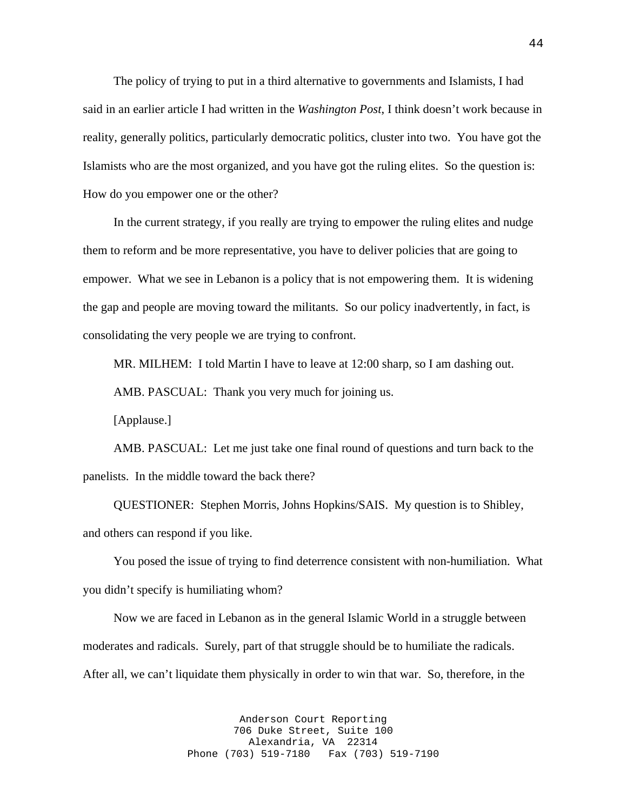The policy of trying to put in a third alternative to governments and Islamists, I had said in an earlier article I had written in the *Washington Post*, I think doesn't work because in reality, generally politics, particularly democratic politics, cluster into two. You have got the Islamists who are the most organized, and you have got the ruling elites. So the question is: How do you empower one or the other?

 In the current strategy, if you really are trying to empower the ruling elites and nudge them to reform and be more representative, you have to deliver policies that are going to empower. What we see in Lebanon is a policy that is not empowering them. It is widening the gap and people are moving toward the militants. So our policy inadvertently, in fact, is consolidating the very people we are trying to confront.

MR. MILHEM: I told Martin I have to leave at 12:00 sharp, so I am dashing out.

AMB. PASCUAL: Thank you very much for joining us.

[Applause.]

 AMB. PASCUAL: Let me just take one final round of questions and turn back to the panelists. In the middle toward the back there?

 QUESTIONER: Stephen Morris, Johns Hopkins/SAIS. My question is to Shibley, and others can respond if you like.

 You posed the issue of trying to find deterrence consistent with non-humiliation. What you didn't specify is humiliating whom?

 Now we are faced in Lebanon as in the general Islamic World in a struggle between moderates and radicals. Surely, part of that struggle should be to humiliate the radicals. After all, we can't liquidate them physically in order to win that war. So, therefore, in the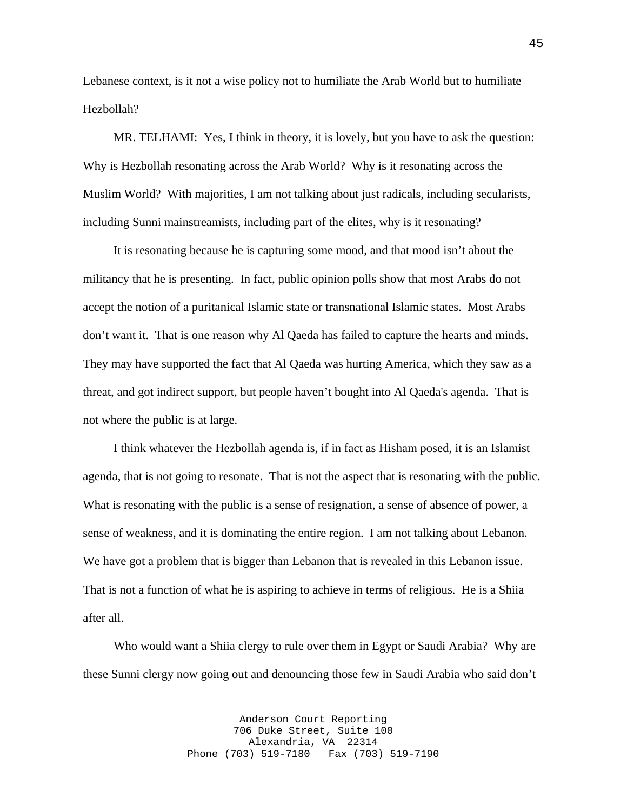Lebanese context, is it not a wise policy not to humiliate the Arab World but to humiliate Hezbollah?

 MR. TELHAMI: Yes, I think in theory, it is lovely, but you have to ask the question: Why is Hezbollah resonating across the Arab World? Why is it resonating across the Muslim World? With majorities, I am not talking about just radicals, including secularists, including Sunni mainstreamists, including part of the elites, why is it resonating?

 It is resonating because he is capturing some mood, and that mood isn't about the militancy that he is presenting. In fact, public opinion polls show that most Arabs do not accept the notion of a puritanical Islamic state or transnational Islamic states. Most Arabs don't want it. That is one reason why Al Qaeda has failed to capture the hearts and minds. They may have supported the fact that Al Qaeda was hurting America, which they saw as a threat, and got indirect support, but people haven't bought into Al Qaeda's agenda. That is not where the public is at large.

 I think whatever the Hezbollah agenda is, if in fact as Hisham posed, it is an Islamist agenda, that is not going to resonate. That is not the aspect that is resonating with the public. What is resonating with the public is a sense of resignation, a sense of absence of power, a sense of weakness, and it is dominating the entire region. I am not talking about Lebanon. We have got a problem that is bigger than Lebanon that is revealed in this Lebanon issue. That is not a function of what he is aspiring to achieve in terms of religious. He is a Shiia after all.

 Who would want a Shiia clergy to rule over them in Egypt or Saudi Arabia? Why are these Sunni clergy now going out and denouncing those few in Saudi Arabia who said don't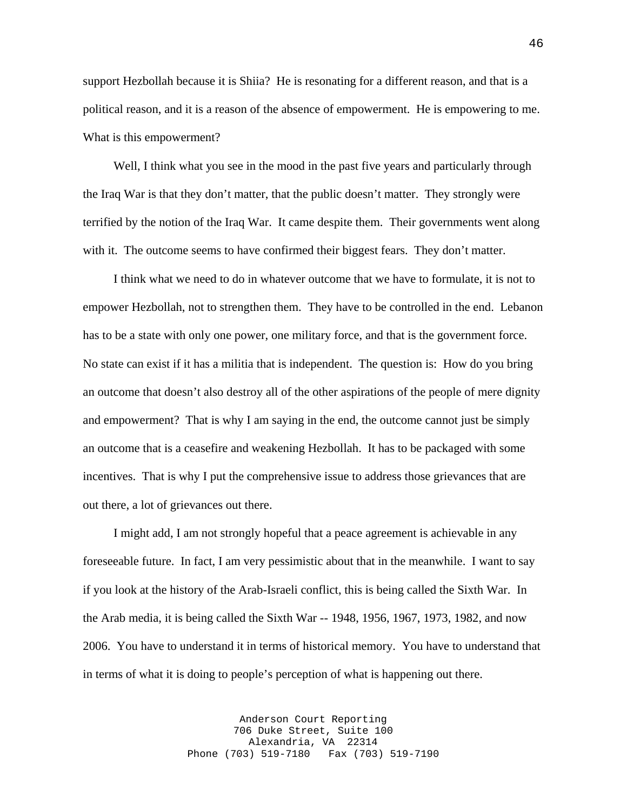support Hezbollah because it is Shiia? He is resonating for a different reason, and that is a political reason, and it is a reason of the absence of empowerment. He is empowering to me. What is this empowerment?

Well, I think what you see in the mood in the past five years and particularly through the Iraq War is that they don't matter, that the public doesn't matter. They strongly were terrified by the notion of the Iraq War. It came despite them. Their governments went along with it. The outcome seems to have confirmed their biggest fears. They don't matter.

 I think what we need to do in whatever outcome that we have to formulate, it is not to empower Hezbollah, not to strengthen them. They have to be controlled in the end. Lebanon has to be a state with only one power, one military force, and that is the government force. No state can exist if it has a militia that is independent. The question is: How do you bring an outcome that doesn't also destroy all of the other aspirations of the people of mere dignity and empowerment? That is why I am saying in the end, the outcome cannot just be simply an outcome that is a ceasefire and weakening Hezbollah. It has to be packaged with some incentives. That is why I put the comprehensive issue to address those grievances that are out there, a lot of grievances out there.

 I might add, I am not strongly hopeful that a peace agreement is achievable in any foreseeable future. In fact, I am very pessimistic about that in the meanwhile. I want to say if you look at the history of the Arab-Israeli conflict, this is being called the Sixth War. In the Arab media, it is being called the Sixth War -- 1948, 1956, 1967, 1973, 1982, and now 2006. You have to understand it in terms of historical memory. You have to understand that in terms of what it is doing to people's perception of what is happening out there.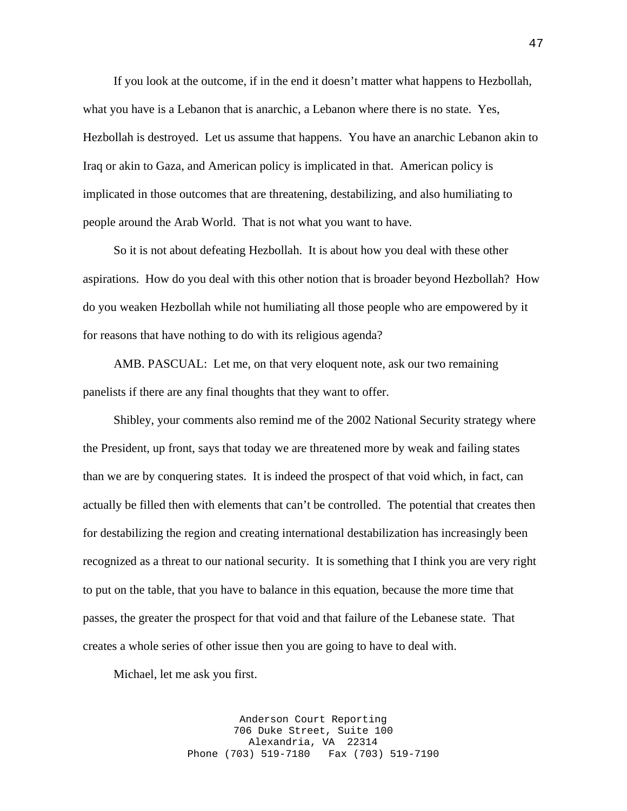If you look at the outcome, if in the end it doesn't matter what happens to Hezbollah, what you have is a Lebanon that is anarchic, a Lebanon where there is no state. Yes, Hezbollah is destroyed. Let us assume that happens. You have an anarchic Lebanon akin to Iraq or akin to Gaza, and American policy is implicated in that. American policy is implicated in those outcomes that are threatening, destabilizing, and also humiliating to people around the Arab World. That is not what you want to have.

 So it is not about defeating Hezbollah. It is about how you deal with these other aspirations. How do you deal with this other notion that is broader beyond Hezbollah? How do you weaken Hezbollah while not humiliating all those people who are empowered by it for reasons that have nothing to do with its religious agenda?

AMB. PASCUAL: Let me, on that very eloquent note, ask our two remaining panelists if there are any final thoughts that they want to offer.

 Shibley, your comments also remind me of the 2002 National Security strategy where the President, up front, says that today we are threatened more by weak and failing states than we are by conquering states. It is indeed the prospect of that void which, in fact, can actually be filled then with elements that can't be controlled. The potential that creates then for destabilizing the region and creating international destabilization has increasingly been recognized as a threat to our national security. It is something that I think you are very right to put on the table, that you have to balance in this equation, because the more time that passes, the greater the prospect for that void and that failure of the Lebanese state. That creates a whole series of other issue then you are going to have to deal with.

Michael, let me ask you first.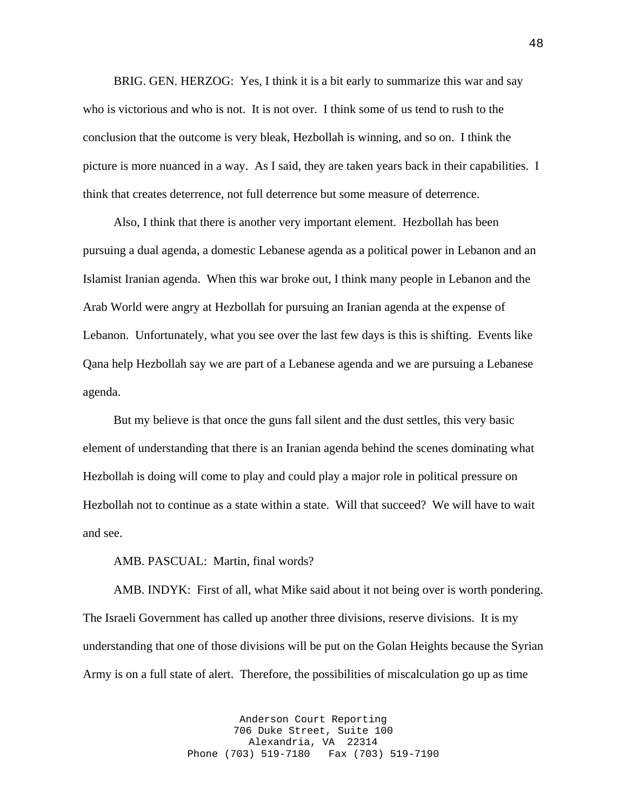BRIG. GEN. HERZOG: Yes, I think it is a bit early to summarize this war and say who is victorious and who is not. It is not over. I think some of us tend to rush to the conclusion that the outcome is very bleak, Hezbollah is winning, and so on. I think the picture is more nuanced in a way. As I said, they are taken years back in their capabilities. I think that creates deterrence, not full deterrence but some measure of deterrence.

 Also, I think that there is another very important element. Hezbollah has been pursuing a dual agenda, a domestic Lebanese agenda as a political power in Lebanon and an Islamist Iranian agenda. When this war broke out, I think many people in Lebanon and the Arab World were angry at Hezbollah for pursuing an Iranian agenda at the expense of Lebanon. Unfortunately, what you see over the last few days is this is shifting. Events like Qana help Hezbollah say we are part of a Lebanese agenda and we are pursuing a Lebanese agenda.

 But my believe is that once the guns fall silent and the dust settles, this very basic element of understanding that there is an Iranian agenda behind the scenes dominating what Hezbollah is doing will come to play and could play a major role in political pressure on Hezbollah not to continue as a state within a state. Will that succeed? We will have to wait and see.

AMB. PASCUAL: Martin, final words?

 AMB. INDYK: First of all, what Mike said about it not being over is worth pondering. The Israeli Government has called up another three divisions, reserve divisions. It is my understanding that one of those divisions will be put on the Golan Heights because the Syrian Army is on a full state of alert. Therefore, the possibilities of miscalculation go up as time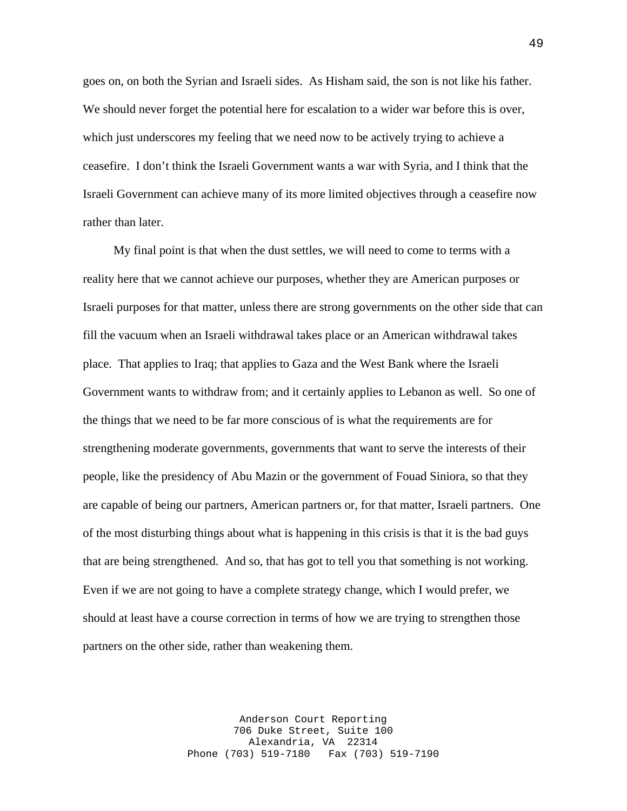goes on, on both the Syrian and Israeli sides. As Hisham said, the son is not like his father. We should never forget the potential here for escalation to a wider war before this is over, which just underscores my feeling that we need now to be actively trying to achieve a ceasefire. I don't think the Israeli Government wants a war with Syria, and I think that the Israeli Government can achieve many of its more limited objectives through a ceasefire now rather than later.

 My final point is that when the dust settles, we will need to come to terms with a reality here that we cannot achieve our purposes, whether they are American purposes or Israeli purposes for that matter, unless there are strong governments on the other side that can fill the vacuum when an Israeli withdrawal takes place or an American withdrawal takes place. That applies to Iraq; that applies to Gaza and the West Bank where the Israeli Government wants to withdraw from; and it certainly applies to Lebanon as well. So one of the things that we need to be far more conscious of is what the requirements are for strengthening moderate governments, governments that want to serve the interests of their people, like the presidency of Abu Mazin or the government of Fouad Siniora, so that they are capable of being our partners, American partners or, for that matter, Israeli partners. One of the most disturbing things about what is happening in this crisis is that it is the bad guys that are being strengthened. And so, that has got to tell you that something is not working. Even if we are not going to have a complete strategy change, which I would prefer, we should at least have a course correction in terms of how we are trying to strengthen those partners on the other side, rather than weakening them.